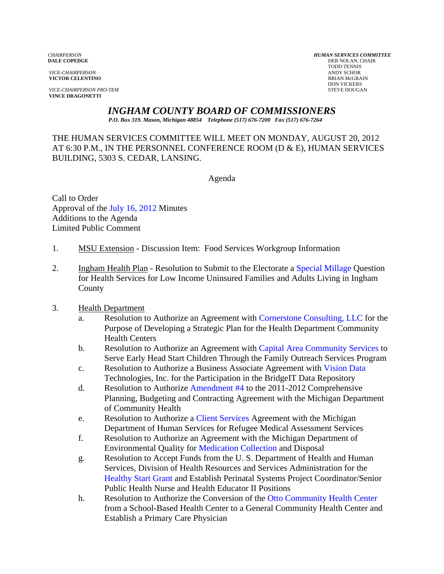**VICTOR CELENTINO** 

**VICE-CHAIRPERSON PRO-TEM** STEVE DOUGAN **VINCE DRAGONETTI** 

*CHAIRPERSON HUMAN SERVICES COMMITTEE* **DEB NOLAN, CHAIR**  TODD TENNIS *VICE-CHAIRPERSON* ANDY SCHOR DON VICKERS

*INGHAM COUNTY BOARD OF COMMISSIONERS* 

*P.O. Box 319. Mason, Michigan 48854 Telephone (517) 676-7200 Fax (517) 676-7264*

THE HUMAN SERVICES COMMITTEE WILL MEET ON MONDAY, AUGUST 20, 2012 AT 6:30 P.M., IN THE PERSONNEL CONFERENCE ROOM (D & E), HUMAN SERVICES BUILDING, 5303 S. CEDAR, LANSING.

Agenda

Call to Order Approval o[f the July 16, 2012 Minutes](#page-2-0)  Additions to the Agenda Limited Public Comment

- 1. MSU Extension Discussion Item: Food Services Workgroup Information
- 2. Ingham Health Plan Resolution to Submit to the Electorat[e a Special Millage Question](#page-13-0)  for Health Services for Low Income Uninsured Families and Adults Living in Ingham County
- 3. Health Department
	- a. Resolution to Authorize an Agreement [with Cornerstone Consulting, LLC for the](#page-14-0)  Purpose of Developing a Strategic Plan for the Health Department Community Health Centers
	- b. Resolution to Authorize an Agreement wi[th Capital Area Community Services to](#page-16-0)  Serve Early Head Start Children Through the Family Outreach Services Program
	- c. Resolution to Authorize a Business Associate Agreement with Vision Data Technologies, Inc. for [the Participation in the](#page-20-0) BridgeIT Data Repository
	- d. Resolution to Authorize Amendment #4 to the 2011-2012 [Comprehensive](#page-18-0)  Planning, Budgeting and Contracting Agreement with the Michigan Department of Community Health
	- e. Resolution to Authoriz[e a Client Services Agree](#page-22-0)ment with the Michigan Department of Human Services for Refugee Medical Assessment Services
	- f. Resolution to Authorize an Agreement with the Michigan Department of Environmental Qualit[y for Medication Collection and Disposa](#page-24-0)l
	- g. Resolution to Accept Funds from the U. S. Department of Health and Human Services, Division of Health Resources and Services Administration for the [Healthy Start Grant and Es](#page-27-0)tablish Perinatal Systems Project Coordinator/Senior Public Health Nurse and Health Educator II Positions
	- h. Resolution to Authorize the Conversion of the Otto Community Health Center from a School-Based Health Center to a G[eneral Community Health Center and](#page-30-0)  Establish a Primary Care Physician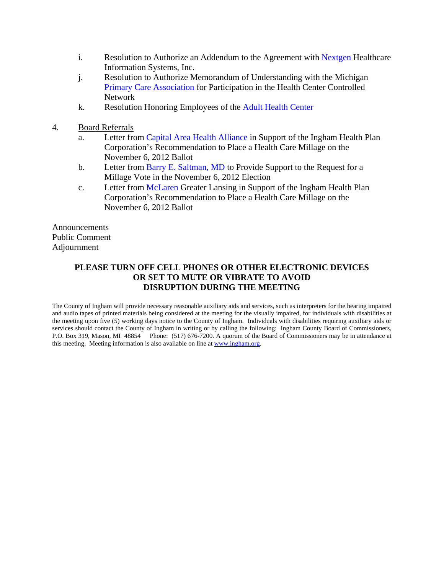- i. Resolution to Authorize an Addendum to the Agreement [with Nextgen Healthcare](#page-38-0)  Information Systems, Inc.
- j. Resolution to Authorize Memorandum of Understanding with the Michigan [Primary Care Association for Pa](#page-41-0)rticipation in the Health Center Controlled Network
- k. Resolution Honoring Employees of [the Adult Health Center](#page-43-0)
- 4. Board Referrals
	- a. Letter fr[om Capital Area Health Alliance in Su](#page-44-0)pport of the Ingham Health Plan Corporation's Recommendation to Place a Health Care Millage on the November 6, 2012 Ballot
	- b. Letter f[rom Barry E. Saltman, MD to Provide Suppor](#page-45-0)t to the Request for a Millage Vote in the November 6, 2012 Election
	- c. Letter from McLaren Greater Lansing in Support of the Ingham Health Plan Corporat[ion's Recommendation to Place a](#page-46-0) Health Care Millage on the November 6, 2012 Ballot

Announcements Public Comment Adjournment

## **PLEASE TURN OFF CELL PHONES OR OTHER ELECTRONIC DEVICES OR SET TO MUTE OR VIBRATE TO AVOID DISRUPTION DURING THE MEETING**

The County of Ingham will provide necessary reasonable auxiliary aids and services, such as interpreters for the hearing impaired and audio tapes of printed materials being considered at the meeting for the visually impaired, for individuals with disabilities at the meeting upon five (5) working days notice to the County of Ingham. Individuals with disabilities requiring auxiliary aids or services should contact the County of Ingham in writing or by calling the following: Ingham County Board of Commissioners, P.O. Box 319, Mason, MI 48854 Phone: (517) 676-7200. A quorum of the Board of Commissioners may be in attendance at this meeting. Meeting information is also available on line at www.ingham.org.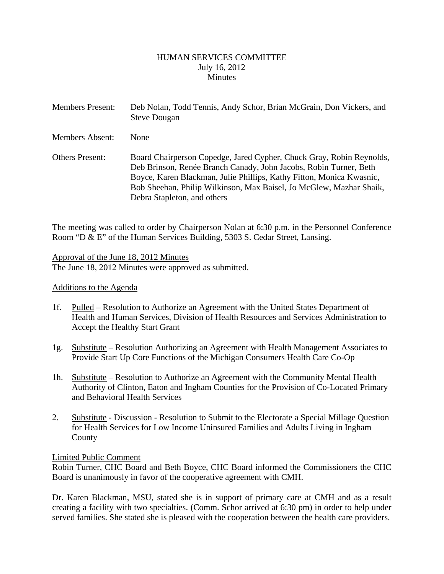#### HUMAN SERVICES COMMITTEE July 16, 2012 **Minutes**

<span id="page-2-0"></span>

| <b>Members Present:</b> | Deb Nolan, Todd Tennis, Andy Schor, Brian McGrain, Don Vickers, and<br><b>Steve Dougan</b>                                                                                                                                                                                                                              |
|-------------------------|-------------------------------------------------------------------------------------------------------------------------------------------------------------------------------------------------------------------------------------------------------------------------------------------------------------------------|
| <b>Members Absent:</b>  | <b>None</b>                                                                                                                                                                                                                                                                                                             |
| <b>Others Present:</b>  | Board Chairperson Copedge, Jared Cypher, Chuck Gray, Robin Reynolds,<br>Deb Brinson, Renée Branch Canady, John Jacobs, Robin Turner, Beth<br>Boyce, Karen Blackman, Julie Phillips, Kathy Fitton, Monica Kwasnic,<br>Bob Sheehan, Philip Wilkinson, Max Baisel, Jo McGlew, Mazhar Shaik,<br>Debra Stapleton, and others |

The meeting was called to order by Chairperson Nolan at 6:30 p.m. in the Personnel Conference Room "D & E" of the Human Services Building, 5303 S. Cedar Street, Lansing.

Approval of the June 18, 2012 Minutes

The June 18, 2012 Minutes were approved as submitted.

#### Additions to the Agenda

- 1f. Pulled Resolution to Authorize an Agreement with the United States Department of Health and Human Services, Division of Health Resources and Services Administration to Accept the Healthy Start Grant
- 1g. Substitute Resolution Authorizing an Agreement with Health Management Associates to Provide Start Up Core Functions of the Michigan Consumers Health Care Co-Op
- 1h. Substitute Resolution to Authorize an Agreement with the Community Mental Health Authority of Clinton, Eaton and Ingham Counties for the Provision of Co-Located Primary and Behavioral Health Services
- 2. Substitute Discussion Resolution to Submit to the Electorate a Special Millage Question for Health Services for Low Income Uninsured Families and Adults Living in Ingham County

#### Limited Public Comment

Robin Turner, CHC Board and Beth Boyce, CHC Board informed the Commissioners the CHC Board is unanimously in favor of the cooperative agreement with CMH.

Dr. Karen Blackman, MSU, stated she is in support of primary care at CMH and as a result creating a facility with two specialties. (Comm. Schor arrived at 6:30 pm) in order to help under served families. She stated she is pleased with the cooperation between the health care providers.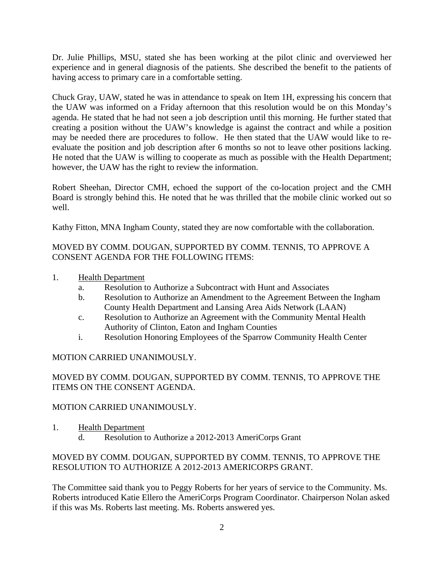Dr. Julie Phillips, MSU, stated she has been working at the pilot clinic and overviewed her experience and in general diagnosis of the patients. She described the benefit to the patients of having access to primary care in a comfortable setting.

Chuck Gray, UAW, stated he was in attendance to speak on Item 1H, expressing his concern that the UAW was informed on a Friday afternoon that this resolution would be on this Monday's agenda. He stated that he had not seen a job description until this morning. He further stated that creating a position without the UAW's knowledge is against the contract and while a position may be needed there are procedures to follow. He then stated that the UAW would like to reevaluate the position and job description after 6 months so not to leave other positions lacking. He noted that the UAW is willing to cooperate as much as possible with the Health Department; however, the UAW has the right to review the information.

Robert Sheehan, Director CMH, echoed the support of the co-location project and the CMH Board is strongly behind this. He noted that he was thrilled that the mobile clinic worked out so well.

Kathy Fitton, MNA Ingham County, stated they are now comfortable with the collaboration.

# MOVED BY COMM. DOUGAN, SUPPORTED BY COMM. TENNIS, TO APPROVE A CONSENT AGENDA FOR THE FOLLOWING ITEMS:

- 1. Health Department
	- a. Resolution to Authorize a Subcontract with Hunt and Associates
	- b. Resolution to Authorize an Amendment to the Agreement Between the Ingham County Health Department and Lansing Area Aids Network (LAAN)
	- c. Resolution to Authorize an Agreement with the Community Mental Health Authority of Clinton, Eaton and Ingham Counties
	- i. Resolution Honoring Employees of the Sparrow Community Health Center

# MOTION CARRIED UNANIMOUSLY.

## MOVED BY COMM. DOUGAN, SUPPORTED BY COMM. TENNIS, TO APPROVE THE ITEMS ON THE CONSENT AGENDA.

## MOTION CARRIED UNANIMOUSLY.

1. Health Department d. Resolution to Authorize a 2012-2013 AmeriCorps Grant

## MOVED BY COMM. DOUGAN, SUPPORTED BY COMM. TENNIS, TO APPROVE THE RESOLUTION TO AUTHORIZE A 2012-2013 AMERICORPS GRANT.

The Committee said thank you to Peggy Roberts for her years of service to the Community. Ms. Roberts introduced Katie Ellero the AmeriCorps Program Coordinator. Chairperson Nolan asked if this was Ms. Roberts last meeting. Ms. Roberts answered yes.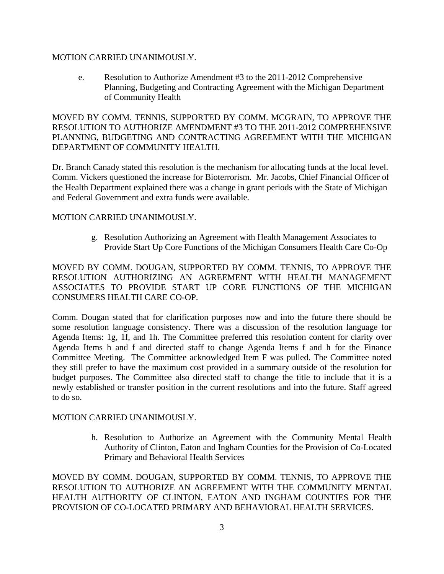#### MOTION CARRIED UNANIMOUSLY.

e. Resolution to Authorize Amendment #3 to the 2011-2012 Comprehensive Planning, Budgeting and Contracting Agreement with the Michigan Department of Community Health

MOVED BY COMM. TENNIS, SUPPORTED BY COMM. MCGRAIN, TO APPROVE THE RESOLUTION TO AUTHORIZE AMENDMENT #3 TO THE 2011-2012 COMPREHENSIVE PLANNING, BUDGETING AND CONTRACTING AGREEMENT WITH THE MICHIGAN DEPARTMENT OF COMMUNITY HEALTH.

Dr. Branch Canady stated this resolution is the mechanism for allocating funds at the local level. Comm. Vickers questioned the increase for Bioterrorism. Mr. Jacobs, Chief Financial Officer of the Health Department explained there was a change in grant periods with the State of Michigan and Federal Government and extra funds were available.

#### MOTION CARRIED UNANIMOUSLY.

g. Resolution Authorizing an Agreement with Health Management Associates to Provide Start Up Core Functions of the Michigan Consumers Health Care Co-Op

MOVED BY COMM. DOUGAN, SUPPORTED BY COMM. TENNIS, TO APPROVE THE RESOLUTION AUTHORIZING AN AGREEMENT WITH HEALTH MANAGEMENT ASSOCIATES TO PROVIDE START UP CORE FUNCTIONS OF THE MICHIGAN CONSUMERS HEALTH CARE CO-OP.

Comm. Dougan stated that for clarification purposes now and into the future there should be some resolution language consistency. There was a discussion of the resolution language for Agenda Items: 1g, 1f, and 1h. The Committee preferred this resolution content for clarity over Agenda Items h and f and directed staff to change Agenda Items f and h for the Finance Committee Meeting. The Committee acknowledged Item F was pulled. The Committee noted they still prefer to have the maximum cost provided in a summary outside of the resolution for budget purposes. The Committee also directed staff to change the title to include that it is a newly established or transfer position in the current resolutions and into the future. Staff agreed to do so.

#### MOTION CARRIED UNANIMOUSLY.

h. Resolution to Authorize an Agreement with the Community Mental Health Authority of Clinton, Eaton and Ingham Counties for the Provision of Co-Located Primary and Behavioral Health Services

MOVED BY COMM. DOUGAN, SUPPORTED BY COMM. TENNIS, TO APPROVE THE RESOLUTION TO AUTHORIZE AN AGREEMENT WITH THE COMMUNITY MENTAL HEALTH AUTHORITY OF CLINTON, EATON AND INGHAM COUNTIES FOR THE PROVISION OF CO-LOCATED PRIMARY AND BEHAVIORAL HEALTH SERVICES.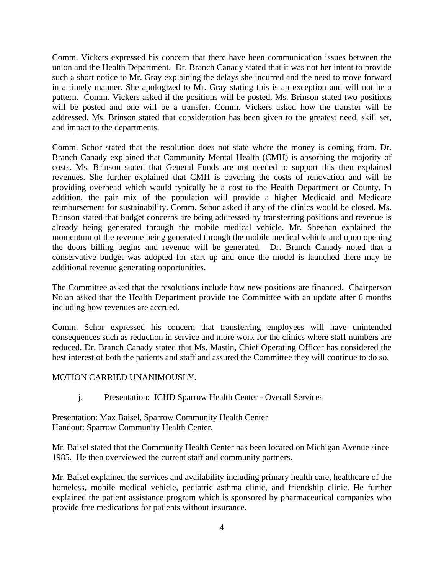Comm. Vickers expressed his concern that there have been communication issues between the union and the Health Department. Dr. Branch Canady stated that it was not her intent to provide such a short notice to Mr. Gray explaining the delays she incurred and the need to move forward in a timely manner. She apologized to Mr. Gray stating this is an exception and will not be a pattern. Comm. Vickers asked if the positions will be posted. Ms. Brinson stated two positions will be posted and one will be a transfer. Comm. Vickers asked how the transfer will be addressed. Ms. Brinson stated that consideration has been given to the greatest need, skill set, and impact to the departments.

Comm. Schor stated that the resolution does not state where the money is coming from. Dr. Branch Canady explained that Community Mental Health (CMH) is absorbing the majority of costs. Ms. Brinson stated that General Funds are not needed to support this then explained revenues. She further explained that CMH is covering the costs of renovation and will be providing overhead which would typically be a cost to the Health Department or County. In addition, the pair mix of the population will provide a higher Medicaid and Medicare reimbursement for sustainability. Comm. Schor asked if any of the clinics would be closed. Ms. Brinson stated that budget concerns are being addressed by transferring positions and revenue is already being generated through the mobile medical vehicle. Mr. Sheehan explained the momentum of the revenue being generated through the mobile medical vehicle and upon opening the doors billing begins and revenue will be generated. Dr. Branch Canady noted that a conservative budget was adopted for start up and once the model is launched there may be additional revenue generating opportunities.

The Committee asked that the resolutions include how new positions are financed. Chairperson Nolan asked that the Health Department provide the Committee with an update after 6 months including how revenues are accrued.

Comm. Schor expressed his concern that transferring employees will have unintended consequences such as reduction in service and more work for the clinics where staff numbers are reduced. Dr. Branch Canady stated that Ms. Mastin, Chief Operating Officer has considered the best interest of both the patients and staff and assured the Committee they will continue to do so.

#### MOTION CARRIED UNANIMOUSLY.

j. Presentation: ICHD Sparrow Health Center - Overall Services

Presentation: Max Baisel, Sparrow Community Health Center Handout: Sparrow Community Health Center.

Mr. Baisel stated that the Community Health Center has been located on Michigan Avenue since 1985. He then overviewed the current staff and community partners.

Mr. Baisel explained the services and availability including primary health care, healthcare of the homeless, mobile medical vehicle, pediatric asthma clinic, and friendship clinic. He further explained the patient assistance program which is sponsored by pharmaceutical companies who provide free medications for patients without insurance.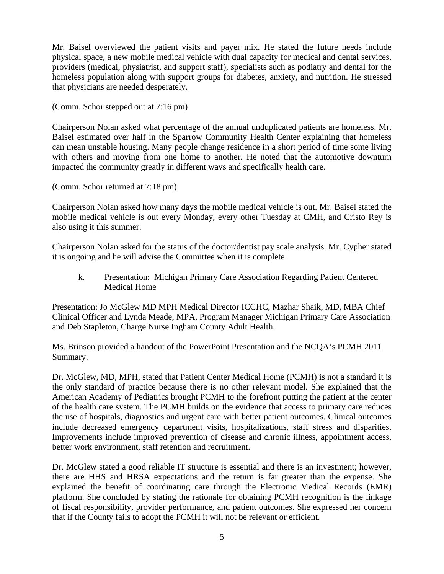Mr. Baisel overviewed the patient visits and payer mix. He stated the future needs include physical space, a new mobile medical vehicle with dual capacity for medical and dental services, providers (medical, physiatrist, and support staff), specialists such as podiatry and dental for the homeless population along with support groups for diabetes, anxiety, and nutrition. He stressed that physicians are needed desperately.

(Comm. Schor stepped out at 7:16 pm)

Chairperson Nolan asked what percentage of the annual unduplicated patients are homeless. Mr. Baisel estimated over half in the Sparrow Community Health Center explaining that homeless can mean unstable housing. Many people change residence in a short period of time some living with others and moving from one home to another. He noted that the automotive downturn impacted the community greatly in different ways and specifically health care.

(Comm. Schor returned at 7:18 pm)

Chairperson Nolan asked how many days the mobile medical vehicle is out. Mr. Baisel stated the mobile medical vehicle is out every Monday, every other Tuesday at CMH, and Cristo Rey is also using it this summer.

Chairperson Nolan asked for the status of the doctor/dentist pay scale analysis. Mr. Cypher stated it is ongoing and he will advise the Committee when it is complete.

k. Presentation: Michigan Primary Care Association Regarding Patient Centered Medical Home

Presentation: Jo McGlew MD MPH Medical Director ICCHC, Mazhar Shaik, MD, MBA Chief Clinical Officer and Lynda Meade, MPA, Program Manager Michigan Primary Care Association and Deb Stapleton, Charge Nurse Ingham County Adult Health.

Ms. Brinson provided a handout of the PowerPoint Presentation and the NCQA's PCMH 2011 Summary.

Dr. McGlew, MD, MPH, stated that Patient Center Medical Home (PCMH) is not a standard it is the only standard of practice because there is no other relevant model. She explained that the American Academy of Pediatrics brought PCMH to the forefront putting the patient at the center of the health care system. The PCMH builds on the evidence that access to primary care reduces the use of hospitals, diagnostics and urgent care with better patient outcomes. Clinical outcomes include decreased emergency department visits, hospitalizations, staff stress and disparities. Improvements include improved prevention of disease and chronic illness, appointment access, better work environment, staff retention and recruitment.

Dr. McGlew stated a good reliable IT structure is essential and there is an investment; however, there are HHS and HRSA expectations and the return is far greater than the expense. She explained the benefit of coordinating care through the Electronic Medical Records (EMR) platform. She concluded by stating the rationale for obtaining PCMH recognition is the linkage of fiscal responsibility, provider performance, and patient outcomes. She expressed her concern that if the County fails to adopt the PCMH it will not be relevant or efficient.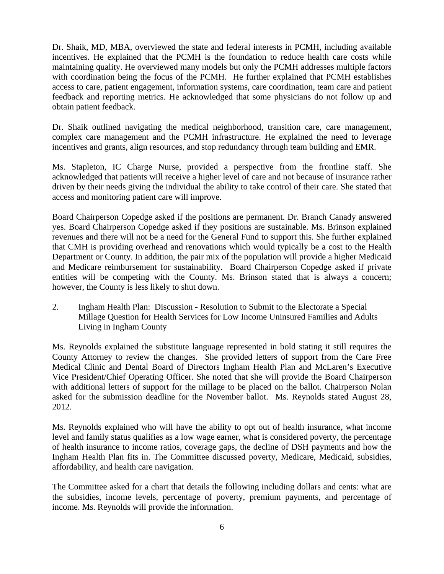Dr. Shaik, MD, MBA, overviewed the state and federal interests in PCMH, including available incentives. He explained that the PCMH is the foundation to reduce health care costs while maintaining quality. He overviewed many models but only the PCMH addresses multiple factors with coordination being the focus of the PCMH. He further explained that PCMH establishes access to care, patient engagement, information systems, care coordination, team care and patient feedback and reporting metrics. He acknowledged that some physicians do not follow up and obtain patient feedback.

Dr. Shaik outlined navigating the medical neighborhood, transition care, care management, complex care management and the PCMH infrastructure. He explained the need to leverage incentives and grants, align resources, and stop redundancy through team building and EMR.

Ms. Stapleton, IC Charge Nurse, provided a perspective from the frontline staff. She acknowledged that patients will receive a higher level of care and not because of insurance rather driven by their needs giving the individual the ability to take control of their care. She stated that access and monitoring patient care will improve.

Board Chairperson Copedge asked if the positions are permanent. Dr. Branch Canady answered yes. Board Chairperson Copedge asked if they positions are sustainable. Ms. Brinson explained revenues and there will not be a need for the General Fund to support this. She further explained that CMH is providing overhead and renovations which would typically be a cost to the Health Department or County. In addition, the pair mix of the population will provide a higher Medicaid and Medicare reimbursement for sustainability. Board Chairperson Copedge asked if private entities will be competing with the County. Ms. Brinson stated that is always a concern; however, the County is less likely to shut down.

2. Ingham Health Plan: Discussion - Resolution to Submit to the Electorate a Special Millage Question for Health Services for Low Income Uninsured Families and Adults Living in Ingham County

Ms. Reynolds explained the substitute language represented in bold stating it still requires the County Attorney to review the changes. She provided letters of support from the Care Free Medical Clinic and Dental Board of Directors Ingham Health Plan and McLaren's Executive Vice President/Chief Operating Officer. She noted that she will provide the Board Chairperson with additional letters of support for the millage to be placed on the ballot. Chairperson Nolan asked for the submission deadline for the November ballot. Ms. Reynolds stated August 28, 2012.

Ms. Reynolds explained who will have the ability to opt out of health insurance, what income level and family status qualifies as a low wage earner, what is considered poverty, the percentage of health insurance to income ratios, coverage gaps, the decline of DSH payments and how the Ingham Health Plan fits in. The Committee discussed poverty, Medicare, Medicaid, subsidies, affordability, and health care navigation.

The Committee asked for a chart that details the following including dollars and cents: what are the subsidies, income levels, percentage of poverty, premium payments, and percentage of income. Ms. Reynolds will provide the information.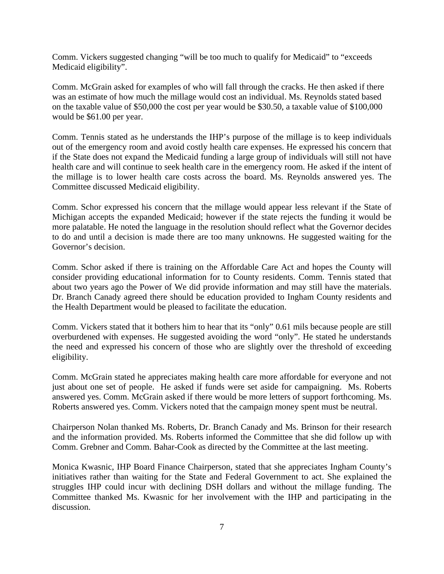Comm. Vickers suggested changing "will be too much to qualify for Medicaid" to "exceeds Medicaid eligibility".

Comm. McGrain asked for examples of who will fall through the cracks. He then asked if there was an estimate of how much the millage would cost an individual. Ms. Reynolds stated based on the taxable value of \$50,000 the cost per year would be \$30.50, a taxable value of \$100,000 would be \$61.00 per year.

Comm. Tennis stated as he understands the IHP's purpose of the millage is to keep individuals out of the emergency room and avoid costly health care expenses. He expressed his concern that if the State does not expand the Medicaid funding a large group of individuals will still not have health care and will continue to seek health care in the emergency room. He asked if the intent of the millage is to lower health care costs across the board. Ms. Reynolds answered yes. The Committee discussed Medicaid eligibility.

Comm. Schor expressed his concern that the millage would appear less relevant if the State of Michigan accepts the expanded Medicaid; however if the state rejects the funding it would be more palatable. He noted the language in the resolution should reflect what the Governor decides to do and until a decision is made there are too many unknowns. He suggested waiting for the Governor's decision.

Comm. Schor asked if there is training on the Affordable Care Act and hopes the County will consider providing educational information for to County residents. Comm. Tennis stated that about two years ago the Power of We did provide information and may still have the materials. Dr. Branch Canady agreed there should be education provided to Ingham County residents and the Health Department would be pleased to facilitate the education.

Comm. Vickers stated that it bothers him to hear that its "only" 0.61 mils because people are still overburdened with expenses. He suggested avoiding the word "only". He stated he understands the need and expressed his concern of those who are slightly over the threshold of exceeding eligibility.

Comm. McGrain stated he appreciates making health care more affordable for everyone and not just about one set of people. He asked if funds were set aside for campaigning. Ms. Roberts answered yes. Comm. McGrain asked if there would be more letters of support forthcoming. Ms. Roberts answered yes. Comm. Vickers noted that the campaign money spent must be neutral.

Chairperson Nolan thanked Ms. Roberts, Dr. Branch Canady and Ms. Brinson for their research and the information provided. Ms. Roberts informed the Committee that she did follow up with Comm. Grebner and Comm. Bahar-Cook as directed by the Committee at the last meeting.

Monica Kwasnic, IHP Board Finance Chairperson, stated that she appreciates Ingham County's initiatives rather than waiting for the State and Federal Government to act. She explained the struggles IHP could incur with declining DSH dollars and without the millage funding. The Committee thanked Ms. Kwasnic for her involvement with the IHP and participating in the discussion.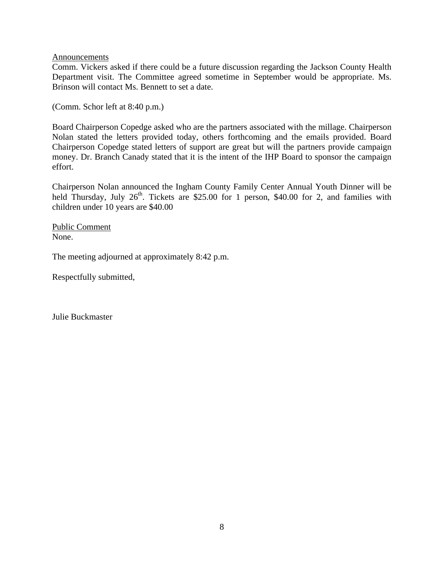**Announcements** 

Comm. Vickers asked if there could be a future discussion regarding the Jackson County Health Department visit. The Committee agreed sometime in September would be appropriate. Ms. Brinson will contact Ms. Bennett to set a date.

(Comm. Schor left at 8:40 p.m.)

Board Chairperson Copedge asked who are the partners associated with the millage. Chairperson Nolan stated the letters provided today, others forthcoming and the emails provided. Board Chairperson Copedge stated letters of support are great but will the partners provide campaign money. Dr. Branch Canady stated that it is the intent of the IHP Board to sponsor the campaign effort.

Chairperson Nolan announced the Ingham County Family Center Annual Youth Dinner will be held Thursday, July  $26<sup>th</sup>$ . Tickets are \$25.00 for 1 person, \$40.00 for 2, and families with children under 10 years are \$40.00

Public Comment None.

The meeting adjourned at approximately 8:42 p.m.

Respectfully submitted,

Julie Buckmaster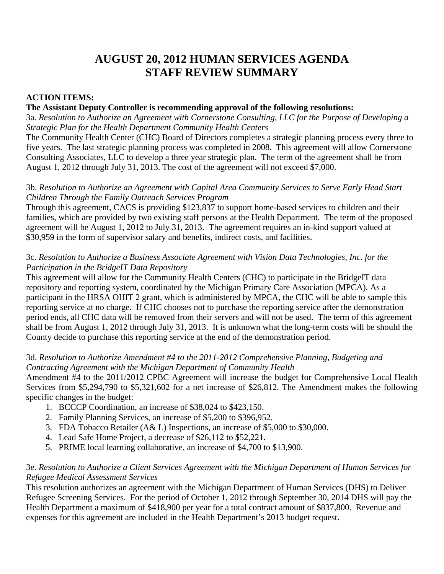# **AUGUST 20, 2012 HUMAN SERVICES AGENDA STAFF REVIEW SUMMARY**

## **ACTION ITEMS:**

### **The Assistant Deputy Controller is recommending approval of the following resolutions:**

3a. *Resolution to Authorize an Agreement with Cornerstone Consulting, LLC for the Purpose of Developing a Strategic Plan for the Health Department Community Health Centers* 

The Community Health Center (CHC) Board of Directors completes a strategic planning process every three to five years. The last strategic planning process was completed in 2008. This agreement will allow Cornerstone Consulting Associates, LLC to develop a three year strategic plan. The term of the agreement shall be from August 1, 2012 through July 31, 2013. The cost of the agreement will not exceed \$7,000.

#### 3b. *Resolution to Authorize an Agreement with Capital Area Community Services to Serve Early Head Start Children Through the Family Outreach Services Program*

Through this agreement, CACS is providing \$123,837 to support home-based services to children and their families, which are provided by two existing staff persons at the Health Department. The term of the proposed agreement will be August 1, 2012 to July 31, 2013. The agreement requires an in-kind support valued at \$30,959 in the form of supervisor salary and benefits, indirect costs, and facilities.

### 3c. *Resolution to Authorize a Business Associate Agreement with Vision Data Technologies, Inc. for the Participation in the BridgeIT Data Repository*

This agreement will allow for the Community Health Centers (CHC) to participate in the BridgeIT data repository and reporting system, coordinated by the Michigan Primary Care Association (MPCA). As a participant in the HRSA OHIT 2 grant, which is administered by MPCA, the CHC will be able to sample this reporting service at no charge. If CHC chooses not to purchase the reporting service after the demonstration period ends, all CHC data will be removed from their servers and will not be used. The term of this agreement shall be from August 1, 2012 through July 31, 2013. It is unknown what the long-term costs will be should the County decide to purchase this reporting service at the end of the demonstration period.

## 3d. *Resolution to Authorize Amendment #4 to the 2011-2012 Comprehensive Planning, Budgeting and Contracting Agreement with the Michigan Department of Community Health*

Amendment #4 to the 2011/2012 CPBC Agreement will increase the budget for Comprehensive Local Health Services from \$5,294,790 to \$5,321,602 for a net increase of \$26,812. The Amendment makes the following specific changes in the budget:

- 1. BCCCP Coordination, an increase of \$38,024 to \$423,150.
- 2. Family Planning Services, an increase of \$5,200 to \$396,952.
- 3. FDA Tobacco Retailer (A& L) Inspections, an increase of \$5,000 to \$30,000.
- 4. Lead Safe Home Project, a decrease of \$26,112 to \$52,221.
- 5. PRIME local learning collaborative, an increase of \$4,700 to \$13,900.

## 3e. *Resolution to Authorize a Client Services Agreement with the Michigan Department of Human Services for Refugee Medical Assessment Services*

This resolution authorizes an agreement with the Michigan Department of Human Services (DHS) to Deliver Refugee Screening Services. For the period of October 1, 2012 through September 30, 2014 DHS will pay the Health Department a maximum of \$418,900 per year for a total contract amount of \$837,800. Revenue and expenses for this agreement are included in the Health Department's 2013 budget request.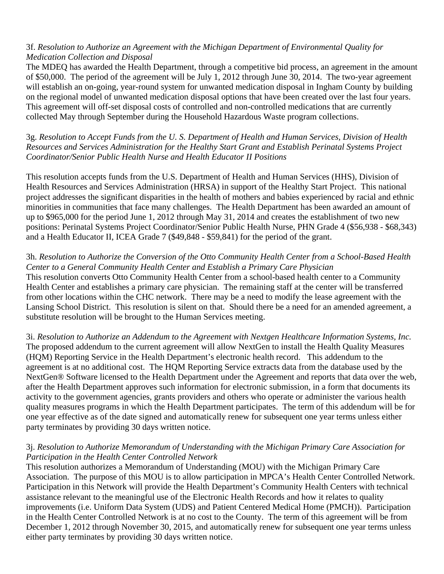## 3f. *Resolution to Authorize an Agreement with the Michigan Department of Environmental Quality for Medication Collection and Disposal*

The MDEQ has awarded the Health Department, through a competitive bid process, an agreement in the amount of \$50,000. The period of the agreement will be July 1, 2012 through June 30, 2014. The two-year agreement will establish an on-going, year-round system for unwanted medication disposal in Ingham County by building on the regional model of unwanted medication disposal options that have been created over the last four years. This agreement will off-set disposal costs of controlled and non-controlled medications that are currently collected May through September during the Household Hazardous Waste program collections.

3g. *Resolution to Accept Funds from the U. S. Department of Health and Human Services, Division of Health Resources and Services Administration for the Healthy Start Grant and Establish Perinatal Systems Project Coordinator/Senior Public Health Nurse and Health Educator II Positions* 

This resolution accepts funds from the U.S. Department of Health and Human Services (HHS), Division of Health Resources and Services Administration (HRSA) in support of the Healthy Start Project. This national project addresses the significant disparities in the health of mothers and babies experienced by racial and ethnic minorities in communities that face many challenges. The Health Department has been awarded an amount of up to \$965,000 for the period June 1, 2012 through May 31, 2014 and creates the establishment of two new positions: Perinatal Systems Project Coordinator/Senior Public Health Nurse, PHN Grade 4 (\$56,938 - \$68,343) and a Health Educator II, ICEA Grade 7 (\$49,848 - \$59,841) for the period of the grant.

# 3h. *Resolution to Authorize the Conversion of the Otto Community Health Center from a School-Based Health Center to a General Community Health Center and Establish a Primary Care Physician*

This resolution converts Otto Community Health Center from a school-based health center to a Community Health Center and establishes a primary care physician. The remaining staff at the center will be transferred from other locations within the CHC network. There may be a need to modify the lease agreement with the Lansing School District. This resolution is silent on that. Should there be a need for an amended agreement, a substitute resolution will be brought to the Human Services meeting.

3i. *Resolution to Authorize an Addendum to the Agreement with Nextgen Healthcare Information Systems, Inc.* The proposed addendum to the current agreement will allow NextGen to install the Health Quality Measures (HQM) Reporting Service in the Health Department's electronic health record. This addendum to the agreement is at no additional cost. The HQM Reporting Service extracts data from the database used by the NextGen® Software licensed to the Health Department under the Agreement and reports that data over the web, after the Health Department approves such information for electronic submission, in a form that documents its activity to the government agencies, grants providers and others who operate or administer the various health quality measures programs in which the Health Department participates. The term of this addendum will be for one year effective as of the date signed and automatically renew for subsequent one year terms unless either party terminates by providing 30 days written notice.

## 3j. *Resolution to Authorize Memorandum of Understanding with the Michigan Primary Care Association for Participation in the Health Center Controlled Network*

This resolution authorizes a Memorandum of Understanding (MOU) with the Michigan Primary Care Association. The purpose of this MOU is to allow participation in MPCA's Health Center Controlled Network. Participation in this Network will provide the Health Department's Community Health Centers with technical assistance relevant to the meaningful use of the Electronic Health Records and how it relates to quality improvements (i.e. Uniform Data System (UDS) and Patient Centered Medical Home (PMCH)). Participation in the Health Center Controlled Network is at no cost to the County. The term of this agreement will be from December 1, 2012 through November 30, 2015, and automatically renew for subsequent one year terms unless either party terminates by providing 30 days written notice.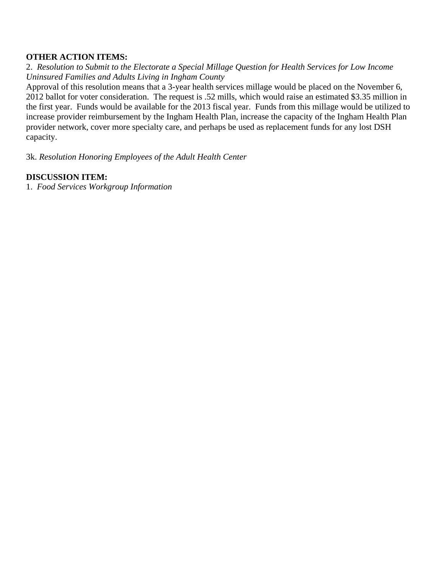#### **OTHER ACTION ITEMS:**

2.*Resolution to Submit to the Electorate a Special Millage Question for Health Services for Low Income Uninsured Families and Adults Living in Ingham County*

Approval of this resolution means that a 3-year health services millage would be placed on the November 6, 2012 ballot for voter consideration. The request is .52 mills, which would raise an estimated \$3.35 million in the first year. Funds would be available for the 2013 fiscal year. Funds from this millage would be utilized to increase provider reimbursement by the Ingham Health Plan, increase the capacity of the Ingham Health Plan provider network, cover more specialty care, and perhaps be used as replacement funds for any lost DSH capacity.

3k. *Resolution Honoring Employees of the Adult Health Center*

## **DISCUSSION ITEM:**

1. *Food Services Workgroup Information*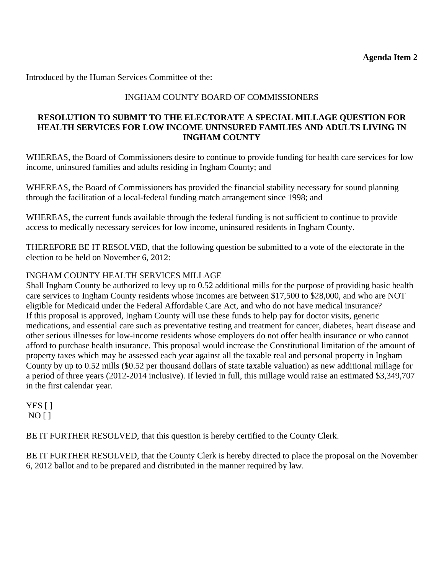<span id="page-13-0"></span>Introduced by the Human Services Committee of the:

# INGHAM COUNTY BOARD OF COMMISSIONERS

### **RESOLUTION TO SUBMIT TO THE ELECTORATE A SPECIAL MILLAGE QUESTION FOR HEALTH SERVICES FOR LOW INCOME UNINSURED FAMILIES AND ADULTS LIVING IN INGHAM COUNTY**

WHEREAS, the Board of Commissioners desire to continue to provide funding for health care services for low income, uninsured families and adults residing in Ingham County; and

WHEREAS, the Board of Commissioners has provided the financial stability necessary for sound planning through the facilitation of a local-federal funding match arrangement since 1998; and

WHEREAS, the current funds available through the federal funding is not sufficient to continue to provide access to medically necessary services for low income, uninsured residents in Ingham County.

THEREFORE BE IT RESOLVED, that the following question be submitted to a vote of the electorate in the election to be held on November 6, 2012:

#### INGHAM COUNTY HEALTH SERVICES MILLAGE

Shall Ingham County be authorized to levy up to 0.52 additional mills for the purpose of providing basic health care services to Ingham County residents whose incomes are between \$17,500 to \$28,000, and who are NOT eligible for Medicaid under the Federal Affordable Care Act, and who do not have medical insurance? If this proposal is approved, Ingham County will use these funds to help pay for doctor visits, generic medications, and essential care such as preventative testing and treatment for cancer, diabetes, heart disease and other serious illnesses for low-income residents whose employers do not offer health insurance or who cannot afford to purchase health insurance. This proposal would increase the Constitutional limitation of the amount of property taxes which may be assessed each year against all the taxable real and personal property in Ingham County by up to 0.52 mills (\$0.52 per thousand dollars of state taxable valuation) as new additional millage for a period of three years (2012-2014 inclusive). If levied in full, this millage would raise an estimated \$3,349,707 in the first calendar year.

YES [ ]  $NO [ ]$ 

BE IT FURTHER RESOLVED, that this question is hereby certified to the County Clerk.

BE IT FURTHER RESOLVED, that the County Clerk is hereby directed to place the proposal on the November 6, 2012 ballot and to be prepared and distributed in the manner required by law.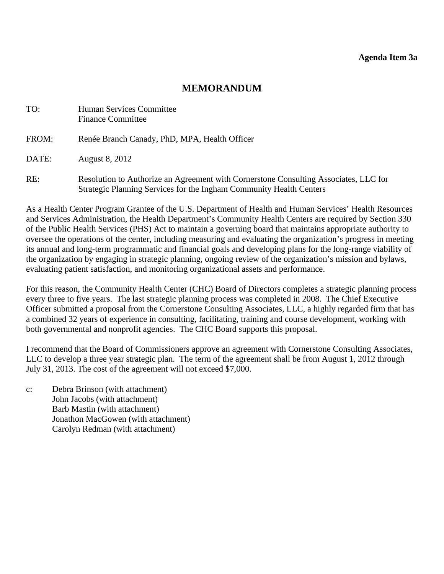<span id="page-14-0"></span>

| TO:   | Human Services Committee<br><b>Finance Committee</b>                                                                                                        |
|-------|-------------------------------------------------------------------------------------------------------------------------------------------------------------|
| FROM: | Renée Branch Canady, PhD, MPA, Health Officer                                                                                                               |
| DATE: | <b>August 8, 2012</b>                                                                                                                                       |
| RE:   | Resolution to Authorize an Agreement with Cornerstone Consulting Associates, LLC for<br>Strategic Planning Services for the Ingham Community Health Centers |

As a Health Center Program Grantee of the U.S. Department of Health and Human Services' Health Resources and Services Administration, the Health Department's Community Health Centers are required by Section 330 of the Public Health Services (PHS) Act to maintain a governing board that maintains appropriate authority to oversee the operations of the center, including measuring and evaluating the organization's progress in meeting its annual and long-term programmatic and financial goals and developing plans for the long-range viability of the organization by engaging in strategic planning, ongoing review of the organization's mission and bylaws, evaluating patient satisfaction, and monitoring organizational assets and performance.

For this reason, the Community Health Center (CHC) Board of Directors completes a strategic planning process every three to five years. The last strategic planning process was completed in 2008. The Chief Executive Officer submitted a proposal from the Cornerstone Consulting Associates, LLC, a highly regarded firm that has a combined 32 years of experience in consulting, facilitating, training and course development, working with both governmental and nonprofit agencies. The CHC Board supports this proposal.

I recommend that the Board of Commissioners approve an agreement with Cornerstone Consulting Associates, LLC to develop a three year strategic plan. The term of the agreement shall be from August 1, 2012 through July 31, 2013. The cost of the agreement will not exceed \$7,000.

c: Debra Brinson (with attachment) John Jacobs (with attachment) Barb Mastin (with attachment) Jonathon MacGowen (with attachment) Carolyn Redman (with attachment)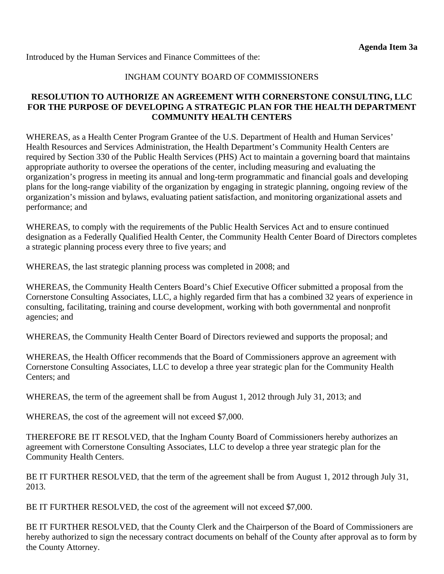Introduced by the Human Services and Finance Committees of the:

#### INGHAM COUNTY BOARD OF COMMISSIONERS

#### **RESOLUTION TO AUTHORIZE AN AGREEMENT WITH CORNERSTONE CONSULTING, LLC FOR THE PURPOSE OF DEVELOPING A STRATEGIC PLAN FOR THE HEALTH DEPARTMENT COMMUNITY HEALTH CENTERS**

WHEREAS, as a Health Center Program Grantee of the U.S. Department of Health and Human Services' Health Resources and Services Administration, the Health Department's Community Health Centers are required by Section 330 of the Public Health Services (PHS) Act to maintain a governing board that maintains appropriate authority to oversee the operations of the center, including measuring and evaluating the organization's progress in meeting its annual and long-term programmatic and financial goals and developing plans for the long-range viability of the organization by engaging in strategic planning, ongoing review of the organization's mission and bylaws, evaluating patient satisfaction, and monitoring organizational assets and performance; and

WHEREAS, to comply with the requirements of the Public Health Services Act and to ensure continued designation as a Federally Qualified Health Center, the Community Health Center Board of Directors completes a strategic planning process every three to five years; and

WHEREAS, the last strategic planning process was completed in 2008; and

WHEREAS, the Community Health Centers Board's Chief Executive Officer submitted a proposal from the Cornerstone Consulting Associates, LLC, a highly regarded firm that has a combined 32 years of experience in consulting, facilitating, training and course development, working with both governmental and nonprofit agencies; and

WHEREAS, the Community Health Center Board of Directors reviewed and supports the proposal; and

WHEREAS, the Health Officer recommends that the Board of Commissioners approve an agreement with Cornerstone Consulting Associates, LLC to develop a three year strategic plan for the Community Health Centers; and

WHEREAS, the term of the agreement shall be from August 1, 2012 through July 31, 2013; and

WHEREAS, the cost of the agreement will not exceed \$7,000.

THEREFORE BE IT RESOLVED, that the Ingham County Board of Commissioners hereby authorizes an agreement with Cornerstone Consulting Associates, LLC to develop a three year strategic plan for the Community Health Centers.

BE IT FURTHER RESOLVED, that the term of the agreement shall be from August 1, 2012 through July 31, 2013.

BE IT FURTHER RESOLVED, the cost of the agreement will not exceed \$7,000.

BE IT FURTHER RESOLVED, that the County Clerk and the Chairperson of the Board of Commissioners are hereby authorized to sign the necessary contract documents on behalf of the County after approval as to form by the County Attorney.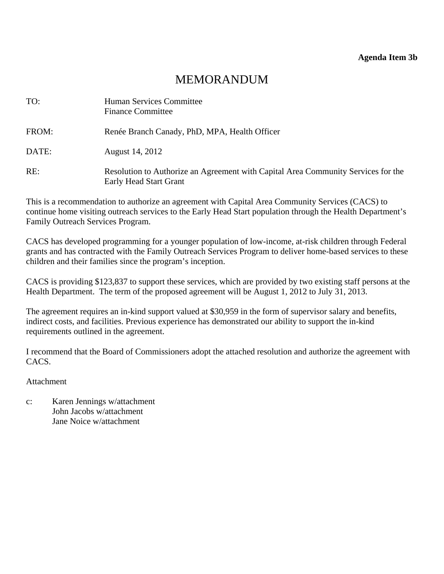#### **Agenda Item 3b**

# MEMORANDUM

<span id="page-16-0"></span>

| TO:   | Human Services Committee<br><b>Finance Committee</b>                                                        |
|-------|-------------------------------------------------------------------------------------------------------------|
| FROM: | Renée Branch Canady, PhD, MPA, Health Officer                                                               |
| DATE: | August 14, 2012                                                                                             |
| RE:   | Resolution to Authorize an Agreement with Capital Area Community Services for the<br>Early Head Start Grant |

This is a recommendation to authorize an agreement with Capital Area Community Services (CACS) to continue home visiting outreach services to the Early Head Start population through the Health Department's Family Outreach Services Program.

CACS has developed programming for a younger population of low-income, at-risk children through Federal grants and has contracted with the Family Outreach Services Program to deliver home-based services to these children and their families since the program's inception.

CACS is providing \$123,837 to support these services, which are provided by two existing staff persons at the Health Department. The term of the proposed agreement will be August 1, 2012 to July 31, 2013.

The agreement requires an in-kind support valued at \$30,959 in the form of supervisor salary and benefits, indirect costs, and facilities. Previous experience has demonstrated our ability to support the in-kind requirements outlined in the agreement.

I recommend that the Board of Commissioners adopt the attached resolution and authorize the agreement with CACS.

#### Attachment

c: Karen Jennings w/attachment John Jacobs w/attachment Jane Noice w/attachment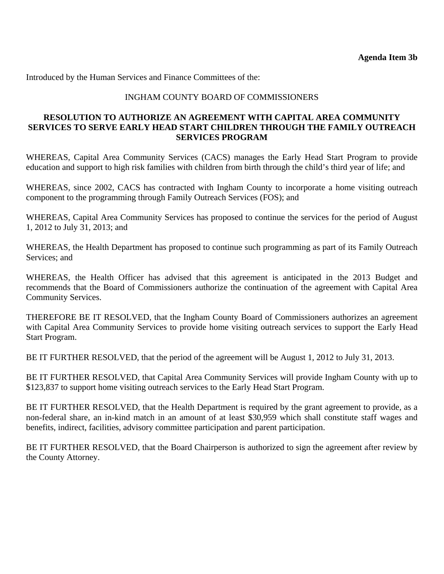Introduced by the Human Services and Finance Committees of the:

### INGHAM COUNTY BOARD OF COMMISSIONERS

#### **RESOLUTION TO AUTHORIZE AN AGREEMENT WITH CAPITAL AREA COMMUNITY SERVICES TO SERVE EARLY HEAD START CHILDREN THROUGH THE FAMILY OUTREACH SERVICES PROGRAM**

WHEREAS, Capital Area Community Services (CACS) manages the Early Head Start Program to provide education and support to high risk families with children from birth through the child's third year of life; and

WHEREAS, since 2002, CACS has contracted with Ingham County to incorporate a home visiting outreach component to the programming through Family Outreach Services (FOS); and

WHEREAS, Capital Area Community Services has proposed to continue the services for the period of August 1, 2012 to July 31, 2013; and

WHEREAS, the Health Department has proposed to continue such programming as part of its Family Outreach Services; and

WHEREAS, the Health Officer has advised that this agreement is anticipated in the 2013 Budget and recommends that the Board of Commissioners authorize the continuation of the agreement with Capital Area Community Services.

THEREFORE BE IT RESOLVED, that the Ingham County Board of Commissioners authorizes an agreement with Capital Area Community Services to provide home visiting outreach services to support the Early Head Start Program.

BE IT FURTHER RESOLVED, that the period of the agreement will be August 1, 2012 to July 31, 2013.

BE IT FURTHER RESOLVED, that Capital Area Community Services will provide Ingham County with up to \$123,837 to support home visiting outreach services to the Early Head Start Program.

BE IT FURTHER RESOLVED, that the Health Department is required by the grant agreement to provide, as a non-federal share, an in-kind match in an amount of at least \$30,959 which shall constitute staff wages and benefits, indirect, facilities, advisory committee participation and parent participation.

BE IT FURTHER RESOLVED, that the Board Chairperson is authorized to sign the agreement after review by the County Attorney.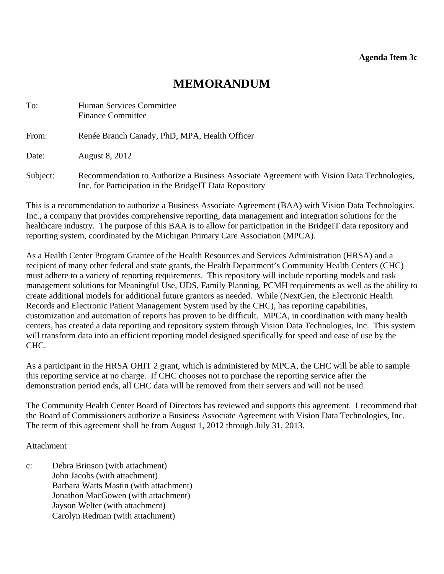<span id="page-18-0"></span>

| To:      | Human Services Committee<br><b>Finance Committee</b>                                                                                                |
|----------|-----------------------------------------------------------------------------------------------------------------------------------------------------|
| From:    | Renée Branch Canady, PhD, MPA, Health Officer                                                                                                       |
| Date:    | <b>August 8, 2012</b>                                                                                                                               |
| Subject: | Recommendation to Authorize a Business Associate Agreement with Vision Data Technologies,<br>Inc. for Participation in the BridgeIT Data Repository |

This is a recommendation to authorize a Business Associate Agreement (BAA) with Vision Data Technologies, Inc., a company that provides comprehensive reporting, data management and integration solutions for the healthcare industry. The purpose of this BAA is to allow for participation in the BridgeIT data repository and reporting system, coordinated by the Michigan Primary Care Association (MPCA).

As a Health Center Program Grantee of the Health Resources and Services Administration (HRSA) and a recipient of many other federal and state grants, the Health Department's Community Health Centers (CHC) must adhere to a variety of reporting requirements. This repository will include reporting models and task management solutions for Meaningful Use, UDS, Family Planning, PCMH requirements as well as the ability to create additional models for additional future grantors as needed. While (NextGen, the Electronic Health Records and Electronic Patient Management System used by the CHC), has reporting capabilities, customization and automation of reports has proven to be difficult. MPCA, in coordination with many health centers, has created a data reporting and repository system through Vision Data Technologies, Inc. This system will transform data into an efficient reporting model designed specifically for speed and ease of use by the CHC.

As a participant in the HRSA OHIT 2 grant, which is administered by MPCA, the CHC will be able to sample this reporting service at no charge. If CHC chooses not to purchase the reporting service after the demonstration period ends, all CHC data will be removed from their servers and will not be used.

The Community Health Center Board of Directors has reviewed and supports this agreement. I recommend that the Board of Commissioners authorize a Business Associate Agreement with Vision Data Technologies, Inc. The term of this agreement shall be from August 1, 2012 through July 31, 2013.

Attachment

c: Debra Brinson (with attachment) John Jacobs (with attachment) Barbara Watts Mastin (with attachment) Jonathon MacGowen (with attachment) Jayson Welter (with attachment) Carolyn Redman (with attachment)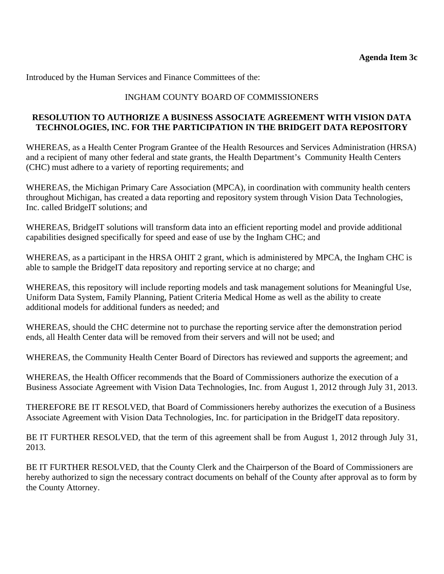Introduced by the Human Services and Finance Committees of the:

### INGHAM COUNTY BOARD OF COMMISSIONERS

### **RESOLUTION TO AUTHORIZE A BUSINESS ASSOCIATE AGREEMENT WITH VISION DATA TECHNOLOGIES, INC. FOR THE PARTICIPATION IN THE BRIDGEIT DATA REPOSITORY**

WHEREAS, as a Health Center Program Grantee of the Health Resources and Services Administration (HRSA) and a recipient of many other federal and state grants, the Health Department's Community Health Centers (CHC) must adhere to a variety of reporting requirements; and

WHEREAS, the Michigan Primary Care Association (MPCA), in coordination with community health centers throughout Michigan, has created a data reporting and repository system through Vision Data Technologies, Inc. called BridgeIT solutions; and

WHEREAS, BridgeIT solutions will transform data into an efficient reporting model and provide additional capabilities designed specifically for speed and ease of use by the Ingham CHC; and

WHEREAS, as a participant in the HRSA OHIT 2 grant, which is administered by MPCA, the Ingham CHC is able to sample the BridgeIT data repository and reporting service at no charge; and

WHEREAS, this repository will include reporting models and task management solutions for Meaningful Use, Uniform Data System, Family Planning, Patient Criteria Medical Home as well as the ability to create additional models for additional funders as needed; and

WHEREAS, should the CHC determine not to purchase the reporting service after the demonstration period ends, all Health Center data will be removed from their servers and will not be used; and

WHEREAS, the Community Health Center Board of Directors has reviewed and supports the agreement; and

WHEREAS, the Health Officer recommends that the Board of Commissioners authorize the execution of a Business Associate Agreement with Vision Data Technologies, Inc. from August 1, 2012 through July 31, 2013.

THEREFORE BE IT RESOLVED, that Board of Commissioners hereby authorizes the execution of a Business Associate Agreement with Vision Data Technologies, Inc. for participation in the BridgeIT data repository.

BE IT FURTHER RESOLVED, that the term of this agreement shall be from August 1, 2012 through July 31, 2013.

BE IT FURTHER RESOLVED, that the County Clerk and the Chairperson of the Board of Commissioners are hereby authorized to sign the necessary contract documents on behalf of the County after approval as to form by the County Attorney.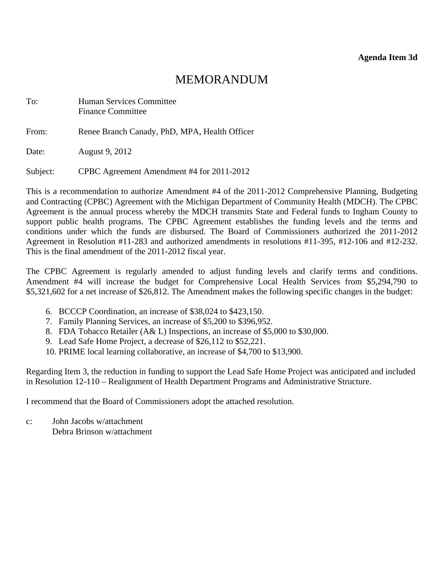<span id="page-20-0"></span>

| To: | Human Services Committee |
|-----|--------------------------|
|     | <b>Finance Committee</b> |

From: Renee Branch Canady, PhD, MPA, Health Officer

Date: August 9, 2012

Subject: CPBC Agreement Amendment #4 for 2011-2012

This is a recommendation to authorize Amendment #4 of the 2011-2012 Comprehensive Planning, Budgeting and Contracting (CPBC) Agreement with the Michigan Department of Community Health (MDCH). The CPBC Agreement is the annual process whereby the MDCH transmits State and Federal funds to Ingham County to support public health programs. The CPBC Agreement establishes the funding levels and the terms and conditions under which the funds are disbursed. The Board of Commissioners authorized the 2011-2012 Agreement in Resolution #11-283 and authorized amendments in resolutions #11-395, #12-106 and #12-232. This is the final amendment of the 2011-2012 fiscal year.

The CPBC Agreement is regularly amended to adjust funding levels and clarify terms and conditions. Amendment #4 will increase the budget for Comprehensive Local Health Services from \$5,294,790 to \$5,321,602 for a net increase of \$26,812. The Amendment makes the following specific changes in the budget:

- 6. BCCCP Coordination, an increase of \$38,024 to \$423,150.
- 7. Family Planning Services, an increase of \$5,200 to \$396,952.
- 8. FDA Tobacco Retailer (A& L) Inspections, an increase of \$5,000 to \$30,000.
- 9. Lead Safe Home Project, a decrease of \$26,112 to \$52,221.
- 10. PRIME local learning collaborative, an increase of \$4,700 to \$13,900.

Regarding Item 3, the reduction in funding to support the Lead Safe Home Project was anticipated and included in Resolution 12-110 – Realignment of Health Department Programs and Administrative Structure.

I recommend that the Board of Commissioners adopt the attached resolution.

c: John Jacobs w/attachment Debra Brinson w/attachment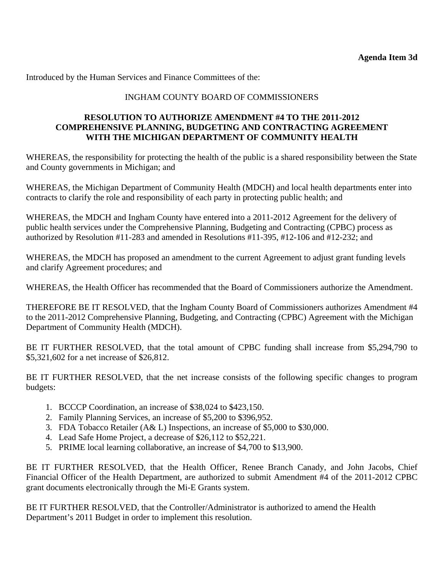Introduced by the Human Services and Finance Committees of the:

## INGHAM COUNTY BOARD OF COMMISSIONERS

### **RESOLUTION TO AUTHORIZE AMENDMENT #4 TO THE 2011-2012 COMPREHENSIVE PLANNING, BUDGETING AND CONTRACTING AGREEMENT WITH THE MICHIGAN DEPARTMENT OF COMMUNITY HEALTH**

WHEREAS, the responsibility for protecting the health of the public is a shared responsibility between the State and County governments in Michigan; and

WHEREAS, the Michigan Department of Community Health (MDCH) and local health departments enter into contracts to clarify the role and responsibility of each party in protecting public health; and

WHEREAS, the MDCH and Ingham County have entered into a 2011-2012 Agreement for the delivery of public health services under the Comprehensive Planning, Budgeting and Contracting (CPBC) process as authorized by Resolution #11-283 and amended in Resolutions #11-395, #12-106 and #12-232; and

WHEREAS, the MDCH has proposed an amendment to the current Agreement to adjust grant funding levels and clarify Agreement procedures; and

WHEREAS, the Health Officer has recommended that the Board of Commissioners authorize the Amendment.

THEREFORE BE IT RESOLVED, that the Ingham County Board of Commissioners authorizes Amendment #4 to the 2011-2012 Comprehensive Planning, Budgeting, and Contracting (CPBC) Agreement with the Michigan Department of Community Health (MDCH).

BE IT FURTHER RESOLVED, that the total amount of CPBC funding shall increase from \$5,294,790 to \$5,321,602 for a net increase of \$26,812.

BE IT FURTHER RESOLVED, that the net increase consists of the following specific changes to program budgets:

- 1. BCCCP Coordination, an increase of \$38,024 to \$423,150.
- 2. Family Planning Services, an increase of \$5,200 to \$396,952.
- 3. FDA Tobacco Retailer (A& L) Inspections, an increase of \$5,000 to \$30,000.
- 4. Lead Safe Home Project, a decrease of \$26,112 to \$52,221.
- 5. PRIME local learning collaborative, an increase of \$4,700 to \$13,900.

BE IT FURTHER RESOLVED, that the Health Officer, Renee Branch Canady, and John Jacobs, Chief Financial Officer of the Health Department, are authorized to submit Amendment #4 of the 2011-2012 CPBC grant documents electronically through the Mi-E Grants system.

BE IT FURTHER RESOLVED, that the Controller/Administrator is authorized to amend the Health Department's 2011 Budget in order to implement this resolution.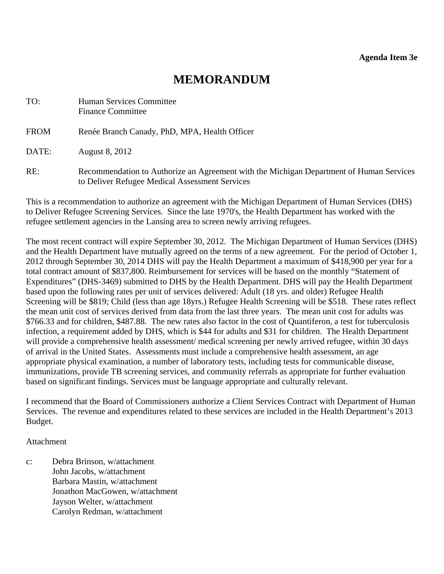<span id="page-22-0"></span>

| TO:         | <b>Human Services Committee</b><br><b>Finance Committee</b>                                                                               |
|-------------|-------------------------------------------------------------------------------------------------------------------------------------------|
| <b>FROM</b> | Renée Branch Canady, PhD, MPA, Health Officer                                                                                             |
| DATE:       | <b>August 8, 2012</b>                                                                                                                     |
| RE:         | Recommendation to Authorize an Agreement with the Michigan Department of Human Services<br>to Deliver Refugee Medical Assessment Services |

This is a recommendation to authorize an agreement with the Michigan Department of Human Services (DHS) to Deliver Refugee Screening Services. Since the late 1970's, the Health Department has worked with the refugee settlement agencies in the Lansing area to screen newly arriving refugees.

The most recent contract will expire September 30, 2012. The Michigan Department of Human Services (DHS) and the Health Department have mutually agreed on the terms of a new agreement. For the period of October 1, 2012 through September 30, 2014 DHS will pay the Health Department a maximum of \$418,900 per year for a total contract amount of \$837,800. Reimbursement for services will be based on the monthly "Statement of Expenditures" (DHS-3469) submitted to DHS by the Health Department. DHS will pay the Health Department based upon the following rates per unit of services delivered: Adult (18 yrs. and older) Refugee Health Screening will be \$819; Child (less than age 18yrs.) Refugee Health Screening will be \$518. These rates reflect the mean unit cost of services derived from data from the last three years. The mean unit cost for adults was \$766.33 and for children, \$487.88. The new rates also factor in the cost of Quantiferon, a test for tuberculosis infection, a requirement added by DHS, which is \$44 for adults and \$31 for children. The Health Department will provide a comprehensive health assessment/ medical screening per newly arrived refugee, within 30 days of arrival in the United States. Assessments must include a comprehensive health assessment, an age appropriate physical examination, a number of laboratory tests, including tests for communicable disease, immunizations, provide TB screening services, and community referrals as appropriate for further evaluation based on significant findings. Services must be language appropriate and culturally relevant.

I recommend that the Board of Commissioners authorize a Client Services Contract with Department of Human Services. The revenue and expenditures related to these services are included in the Health Department's 2013 Budget.

#### Attachment

c: Debra Brinson, w/attachment John Jacobs, w/attachment Barbara Mastin, w/attachment Jonathon MacGowen, w/attachment Jayson Welter, w/attachment Carolyn Redman, w/attachment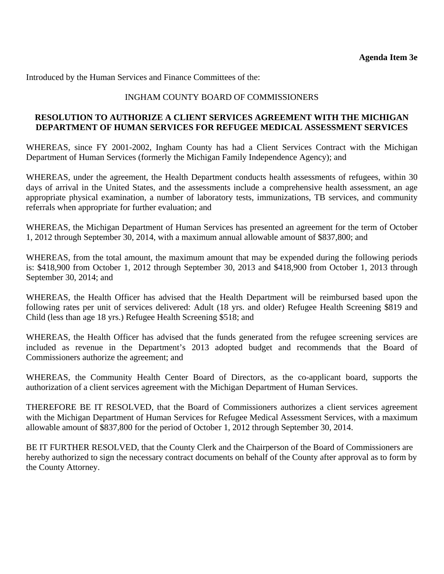Introduced by the Human Services and Finance Committees of the:

### INGHAM COUNTY BOARD OF COMMISSIONERS

#### **RESOLUTION TO AUTHORIZE A CLIENT SERVICES AGREEMENT WITH THE MICHIGAN DEPARTMENT OF HUMAN SERVICES FOR REFUGEE MEDICAL ASSESSMENT SERVICES**

WHEREAS, since FY 2001-2002, Ingham County has had a Client Services Contract with the Michigan Department of Human Services (formerly the Michigan Family Independence Agency); and

WHEREAS, under the agreement, the Health Department conducts health assessments of refugees, within 30 days of arrival in the United States, and the assessments include a comprehensive health assessment, an age appropriate physical examination, a number of laboratory tests, immunizations, TB services, and community referrals when appropriate for further evaluation; and

WHEREAS, the Michigan Department of Human Services has presented an agreement for the term of October 1, 2012 through September 30, 2014, with a maximum annual allowable amount of \$837,800; and

WHEREAS, from the total amount, the maximum amount that may be expended during the following periods is: \$418,900 from October 1, 2012 through September 30, 2013 and \$418,900 from October 1, 2013 through September 30, 2014; and

WHEREAS, the Health Officer has advised that the Health Department will be reimbursed based upon the following rates per unit of services delivered: Adult (18 yrs. and older) Refugee Health Screening \$819 and Child (less than age 18 yrs.) Refugee Health Screening \$518; and

WHEREAS, the Health Officer has advised that the funds generated from the refugee screening services are included as revenue in the Department's 2013 adopted budget and recommends that the Board of Commissioners authorize the agreement; and

WHEREAS, the Community Health Center Board of Directors, as the co-applicant board, supports the authorization of a client services agreement with the Michigan Department of Human Services.

THEREFORE BE IT RESOLVED, that the Board of Commissioners authorizes a client services agreement with the Michigan Department of Human Services for Refugee Medical Assessment Services, with a maximum allowable amount of \$837,800 for the period of October 1, 2012 through September 30, 2014.

BE IT FURTHER RESOLVED, that the County Clerk and the Chairperson of the Board of Commissioners are hereby authorized to sign the necessary contract documents on behalf of the County after approval as to form by the County Attorney.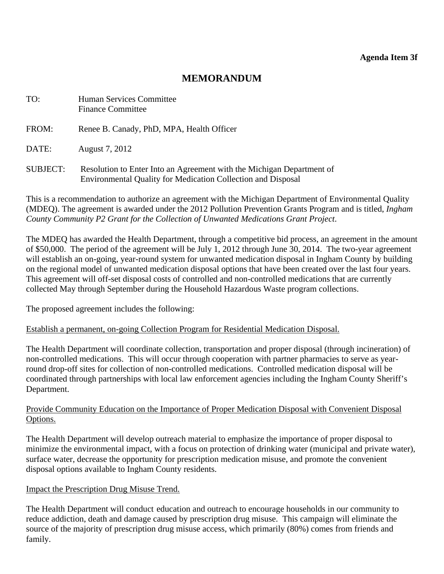<span id="page-24-0"></span>

| TO:             | Human Services Committee<br><b>Finance Committee</b>                                                                                         |
|-----------------|----------------------------------------------------------------------------------------------------------------------------------------------|
| FROM:           | Renee B. Canady, PhD, MPA, Health Officer                                                                                                    |
| DATE:           | August 7, 2012                                                                                                                               |
| <b>SUBJECT:</b> | Resolution to Enter Into an Agreement with the Michigan Department of<br><b>Environmental Quality for Medication Collection and Disposal</b> |

This is a recommendation to authorize an agreement with the Michigan Department of Environmental Quality (MDEQ). The agreement is awarded under the 2012 Pollution Prevention Grants Program and is titled, *Ingham County Community P2 Grant for the Collection of Unwanted Medications Grant Project*.

The MDEQ has awarded the Health Department, through a competitive bid process, an agreement in the amount of \$50,000. The period of the agreement will be July 1, 2012 through June 30, 2014. The two-year agreement will establish an on-going, year-round system for unwanted medication disposal in Ingham County by building on the regional model of unwanted medication disposal options that have been created over the last four years. This agreement will off-set disposal costs of controlled and non-controlled medications that are currently collected May through September during the Household Hazardous Waste program collections.

The proposed agreement includes the following:

Establish a permanent, on-going Collection Program for Residential Medication Disposal.

The Health Department will coordinate collection, transportation and proper disposal (through incineration) of non-controlled medications. This will occur through cooperation with partner pharmacies to serve as yearround drop-off sites for collection of non-controlled medications. Controlled medication disposal will be coordinated through partnerships with local law enforcement agencies including the Ingham County Sheriff's Department.

#### Provide Community Education on the Importance of Proper Medication Disposal with Convenient Disposal Options.

The Health Department will develop outreach material to emphasize the importance of proper disposal to minimize the environmental impact, with a focus on protection of drinking water (municipal and private water), surface water, decrease the opportunity for prescription medication misuse, and promote the convenient disposal options available to Ingham County residents.

#### Impact the Prescription Drug Misuse Trend.

The Health Department will conduct education and outreach to encourage households in our community to reduce addiction, death and damage caused by prescription drug misuse. This campaign will eliminate the source of the majority of prescription drug misuse access, which primarily (80%) comes from friends and family.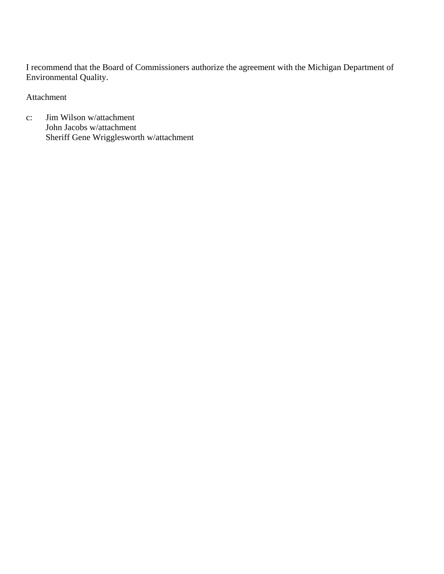I recommend that the Board of Commissioners authorize the agreement with the Michigan Department of Environmental Quality.

Attachment

c: Jim Wilson w/attachment John Jacobs w/attachment Sheriff Gene Wrigglesworth w/attachment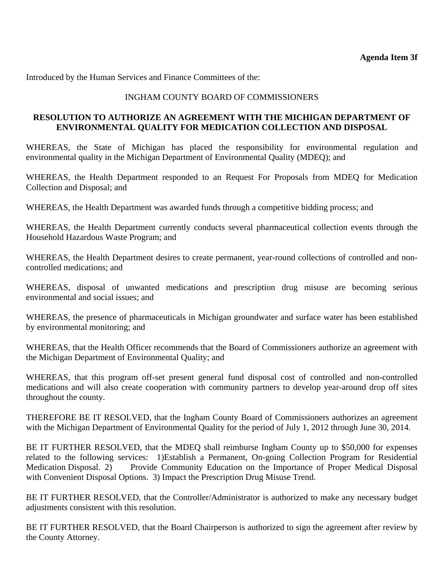Introduced by the Human Services and Finance Committees of the:

### INGHAM COUNTY BOARD OF COMMISSIONERS

### **RESOLUTION TO AUTHORIZE AN AGREEMENT WITH THE MICHIGAN DEPARTMENT OF ENVIRONMENTAL QUALITY FOR MEDICATION COLLECTION AND DISPOSAL**

WHEREAS, the State of Michigan has placed the responsibility for environmental regulation and environmental quality in the Michigan Department of Environmental Quality (MDEQ); and

WHEREAS, the Health Department responded to an Request For Proposals from MDEQ for Medication Collection and Disposal; and

WHEREAS, the Health Department was awarded funds through a competitive bidding process; and

WHEREAS, the Health Department currently conducts several pharmaceutical collection events through the Household Hazardous Waste Program; and

WHEREAS, the Health Department desires to create permanent, year-round collections of controlled and noncontrolled medications; and

WHEREAS, disposal of unwanted medications and prescription drug misuse are becoming serious environmental and social issues; and

WHEREAS, the presence of pharmaceuticals in Michigan groundwater and surface water has been established by environmental monitoring; and

WHEREAS, that the Health Officer recommends that the Board of Commissioners authorize an agreement with the Michigan Department of Environmental Quality; and

WHEREAS, that this program off-set present general fund disposal cost of controlled and non-controlled medications and will also create cooperation with community partners to develop year-around drop off sites throughout the county.

THEREFORE BE IT RESOLVED, that the Ingham County Board of Commissioners authorizes an agreement with the Michigan Department of Environmental Quality for the period of July 1, 2012 through June 30, 2014.

BE IT FURTHER RESOLVED, that the MDEQ shall reimburse Ingham County up to \$50,000 for expenses related to the following services: 1)Establish a Permanent, On-going Collection Program for Residential Medication Disposal. 2) Provide Community Education on the Importance of Proper Medical Disposal with Convenient Disposal Options. 3) Impact the Prescription Drug Misuse Trend.

BE IT FURTHER RESOLVED, that the Controller/Administrator is authorized to make any necessary budget adjustments consistent with this resolution.

BE IT FURTHER RESOLVED, that the Board Chairperson is authorized to sign the agreement after review by the County Attorney.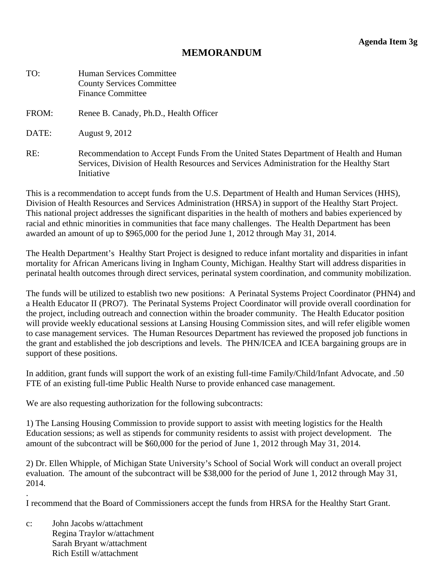<span id="page-27-0"></span>

| TO:   | Human Services Committee<br><b>County Services Committee</b><br><b>Finance Committee</b>                                                                                                       |
|-------|------------------------------------------------------------------------------------------------------------------------------------------------------------------------------------------------|
| FROM: | Renee B. Canady, Ph.D., Health Officer                                                                                                                                                         |
| DATE: | August 9, 2012                                                                                                                                                                                 |
| RE:   | Recommendation to Accept Funds From the United States Department of Health and Human<br>Services, Division of Health Resources and Services Administration for the Healthy Start<br>Initiative |

This is a recommendation to accept funds from the U.S. Department of Health and Human Services (HHS), Division of Health Resources and Services Administration (HRSA) in support of the Healthy Start Project. This national project addresses the significant disparities in the health of mothers and babies experienced by racial and ethnic minorities in communities that face many challenges. The Health Department has been awarded an amount of up to \$965,000 for the period June 1, 2012 through May 31, 2014.

The Health Department's Healthy Start Project is designed to reduce infant mortality and disparities in infant mortality for African Americans living in Ingham County, Michigan. Healthy Start will address disparities in perinatal health outcomes through direct services, perinatal system coordination, and community mobilization.

The funds will be utilized to establish two new positions: A Perinatal Systems Project Coordinator (PHN4) and a Health Educator II (PRO7). The Perinatal Systems Project Coordinator will provide overall coordination for the project, including outreach and connection within the broader community. The Health Educator position will provide weekly educational sessions at Lansing Housing Commission sites, and will refer eligible women to case management services. The Human Resources Department has reviewed the proposed job functions in the grant and established the job descriptions and levels. The PHN/ICEA and ICEA bargaining groups are in support of these positions.

In addition, grant funds will support the work of an existing full-time Family/Child/Infant Advocate, and .50 FTE of an existing full-time Public Health Nurse to provide enhanced case management.

We are also requesting authorization for the following subcontracts:

1) The Lansing Housing Commission to provide support to assist with meeting logistics for the Health Education sessions; as well as stipends for community residents to assist with project development. The amount of the subcontract will be \$60,000 for the period of June 1, 2012 through May 31, 2014.

2) Dr. Ellen Whipple, of Michigan State University's School of Social Work will conduct an overall project evaluation. The amount of the subcontract will be \$38,000 for the period of June 1, 2012 through May 31, 2014.

I recommend that the Board of Commissioners accept the funds from HRSA for the Healthy Start Grant.

c: John Jacobs w/attachment Regina Traylor w/attachment Sarah Bryant w/attachment Rich Estill w/attachment

.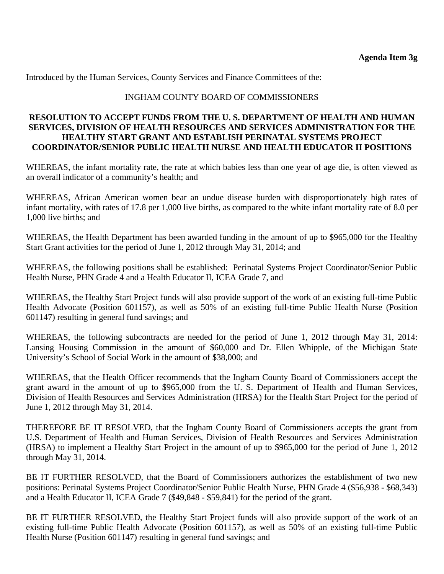Introduced by the Human Services, County Services and Finance Committees of the:

#### INGHAM COUNTY BOARD OF COMMISSIONERS

### **RESOLUTION TO ACCEPT FUNDS FROM THE U. S. DEPARTMENT OF HEALTH AND HUMAN SERVICES, DIVISION OF HEALTH RESOURCES AND SERVICES ADMINISTRATION FOR THE HEALTHY START GRANT AND ESTABLISH PERINATAL SYSTEMS PROJECT COORDINATOR/SENIOR PUBLIC HEALTH NURSE AND HEALTH EDUCATOR II POSITIONS**

WHEREAS, the infant mortality rate, the rate at which babies less than one year of age die, is often viewed as an overall indicator of a community's health; and

WHEREAS, African American women bear an undue disease burden with disproportionately high rates of infant mortality, with rates of 17.8 per 1,000 live births, as compared to the white infant mortality rate of 8.0 per 1,000 live births; and

WHEREAS, the Health Department has been awarded funding in the amount of up to \$965,000 for the Healthy Start Grant activities for the period of June 1, 2012 through May 31, 2014; and

WHEREAS, the following positions shall be established: Perinatal Systems Project Coordinator/Senior Public Health Nurse, PHN Grade 4 and a Health Educator II, ICEA Grade 7, and

WHEREAS, the Healthy Start Project funds will also provide support of the work of an existing full-time Public Health Advocate (Position 601157), as well as 50% of an existing full-time Public Health Nurse (Position 601147) resulting in general fund savings; and

WHEREAS, the following subcontracts are needed for the period of June 1, 2012 through May 31, 2014: Lansing Housing Commission in the amount of \$60,000 and Dr. Ellen Whipple, of the Michigan State University's School of Social Work in the amount of \$38,000; and

WHEREAS, that the Health Officer recommends that the Ingham County Board of Commissioners accept the grant award in the amount of up to \$965,000 from the U. S. Department of Health and Human Services, Division of Health Resources and Services Administration (HRSA) for the Health Start Project for the period of June 1, 2012 through May 31, 2014.

THEREFORE BE IT RESOLVED, that the Ingham County Board of Commissioners accepts the grant from U.S. Department of Health and Human Services, Division of Health Resources and Services Administration (HRSA) to implement a Healthy Start Project in the amount of up to \$965,000 for the period of June 1, 2012 through May 31, 2014.

BE IT FURTHER RESOLVED, that the Board of Commissioners authorizes the establishment of two new positions: Perinatal Systems Project Coordinator/Senior Public Health Nurse, PHN Grade 4 (\$56,938 - \$68,343) and a Health Educator II, ICEA Grade 7 (\$49,848 - \$59,841) for the period of the grant.

BE IT FURTHER RESOLVED, the Healthy Start Project funds will also provide support of the work of an existing full-time Public Health Advocate (Position 601157), as well as 50% of an existing full-time Public Health Nurse (Position 601147) resulting in general fund savings; and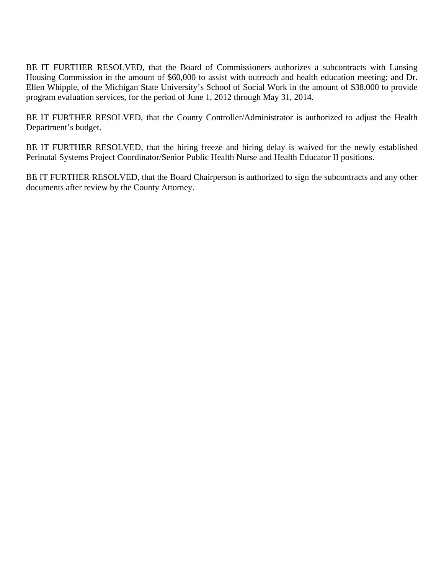BE IT FURTHER RESOLVED, that the Board of Commissioners authorizes a subcontracts with Lansing Housing Commission in the amount of \$60,000 to assist with outreach and health education meeting; and Dr. Ellen Whipple, of the Michigan State University's School of Social Work in the amount of \$38,000 to provide program evaluation services, for the period of June 1, 2012 through May 31, 2014.

BE IT FURTHER RESOLVED, that the County Controller/Administrator is authorized to adjust the Health Department's budget.

BE IT FURTHER RESOLVED, that the hiring freeze and hiring delay is waived for the newly established Perinatal Systems Project Coordinator/Senior Public Health Nurse and Health Educator II positions.

BE IT FURTHER RESOLVED, that the Board Chairperson is authorized to sign the subcontracts and any other documents after review by the County Attorney.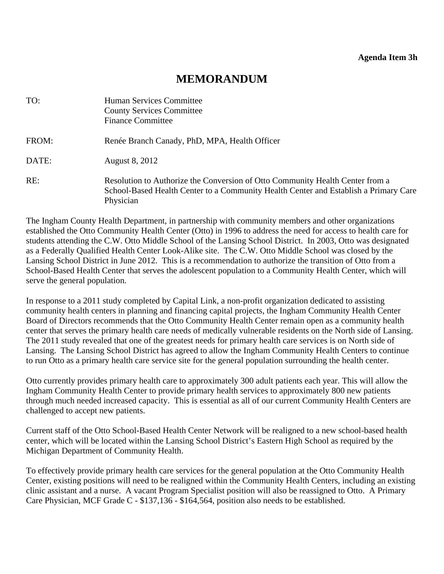<span id="page-30-0"></span>

| TO:   | Human Services Committee<br><b>County Services Committee</b><br><b>Finance Committee</b>                                                                                           |
|-------|------------------------------------------------------------------------------------------------------------------------------------------------------------------------------------|
| FROM: | Renée Branch Canady, PhD, MPA, Health Officer                                                                                                                                      |
| DATE: | <b>August 8, 2012</b>                                                                                                                                                              |
| RE:   | Resolution to Authorize the Conversion of Otto Community Health Center from a<br>School-Based Health Center to a Community Health Center and Establish a Primary Care<br>Physician |

The Ingham County Health Department, in partnership with community members and other organizations established the Otto Community Health Center (Otto) in 1996 to address the need for access to health care for students attending the C.W. Otto Middle School of the Lansing School District. In 2003, Otto was designated as a Federally Qualified Health Center Look-Alike site. The C.W. Otto Middle School was closed by the Lansing School District in June 2012. This is a recommendation to authorize the transition of Otto from a School-Based Health Center that serves the adolescent population to a Community Health Center, which will serve the general population.

In response to a 2011 study completed by Capital Link, a non-profit organization dedicated to assisting community health centers in planning and financing capital projects, the Ingham Community Health Center Board of Directors recommends that the Otto Community Health Center remain open as a community health center that serves the primary health care needs of medically vulnerable residents on the North side of Lansing. The 2011 study revealed that one of the greatest needs for primary health care services is on North side of Lansing. The Lansing School District has agreed to allow the Ingham Community Health Centers to continue to run Otto as a primary health care service site for the general population surrounding the health center.

Otto currently provides primary health care to approximately 300 adult patients each year. This will allow the Ingham Community Health Center to provide primary health services to approximately 800 new patients through much needed increased capacity. This is essential as all of our current Community Health Centers are challenged to accept new patients.

Current staff of the Otto School-Based Health Center Network will be realigned to a new school-based health center, which will be located within the Lansing School District's Eastern High School as required by the Michigan Department of Community Health.

To effectively provide primary health care services for the general population at the Otto Community Health Center, existing positions will need to be realigned within the Community Health Centers, including an existing clinic assistant and a nurse. A vacant Program Specialist position will also be reassigned to Otto. A Primary Care Physician, MCF Grade C - \$137,136 - \$164,564, position also needs to be established.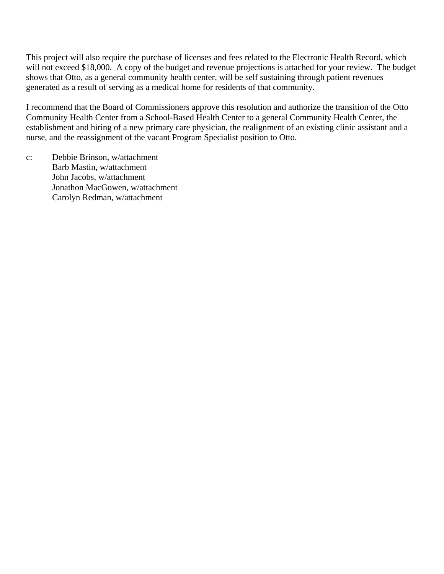This project will also require the purchase of licenses and fees related to the Electronic Health Record, which will not exceed \$18,000. A copy of the budget and revenue projections is attached for your review. The budget shows that Otto, as a general community health center, will be self sustaining through patient revenues generated as a result of serving as a medical home for residents of that community.

I recommend that the Board of Commissioners approve this resolution and authorize the transition of the Otto Community Health Center from a School-Based Health Center to a general Community Health Center, the establishment and hiring of a new primary care physician, the realignment of an existing clinic assistant and a nurse, and the reassignment of the vacant Program Specialist position to Otto.

c: Debbie Brinson, w/attachment Barb Mastin, w/attachment John Jacobs, w/attachment Jonathon MacGowen, w/attachment Carolyn Redman, w/attachment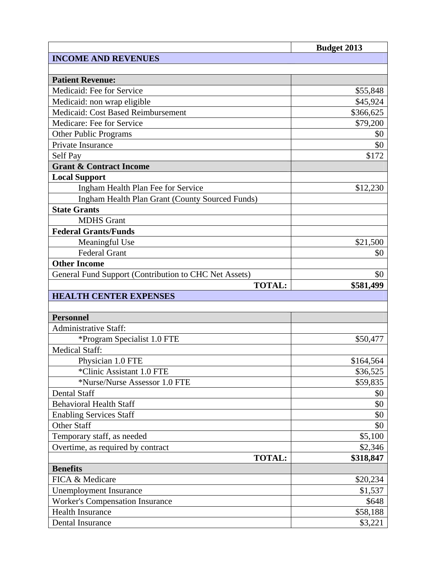|                                                       | <b>Budget 2013</b> |
|-------------------------------------------------------|--------------------|
| <b>INCOME AND REVENUES</b>                            |                    |
|                                                       |                    |
| <b>Patient Revenue:</b>                               |                    |
| Medicaid: Fee for Service                             | \$55,848           |
| Medicaid: non wrap eligible                           | \$45,924           |
| Medicaid: Cost Based Reimbursement                    | \$366,625          |
| Medicare: Fee for Service                             | \$79,200           |
| <b>Other Public Programs</b>                          | \$0                |
| Private Insurance                                     | \$0                |
| Self Pay                                              | \$172              |
| <b>Grant &amp; Contract Income</b>                    |                    |
| <b>Local Support</b>                                  |                    |
| Ingham Health Plan Fee for Service                    | \$12,230           |
| Ingham Health Plan Grant (County Sourced Funds)       |                    |
| <b>State Grants</b>                                   |                    |
| <b>MDHS</b> Grant                                     |                    |
| <b>Federal Grants/Funds</b>                           |                    |
| Meaningful Use                                        | \$21,500           |
| <b>Federal Grant</b>                                  | \$0                |
| <b>Other Income</b>                                   |                    |
| General Fund Support (Contribution to CHC Net Assets) | \$0                |
| <b>TOTAL:</b>                                         | \$581,499          |
| <b>HEALTH CENTER EXPENSES</b>                         |                    |
|                                                       |                    |
| <b>Personnel</b>                                      |                    |
| <b>Administrative Staff:</b>                          |                    |
| *Program Specialist 1.0 FTE                           | \$50,477           |
| <b>Medical Staff:</b>                                 |                    |
| Physician 1.0 FTE                                     | \$164,564          |
| *Clinic Assistant 1.0 FTE                             | \$36,525           |
| *Nurse/Nurse Assessor 1.0 FTE                         | \$59,835           |
| <b>Dental Staff</b>                                   | \$0                |
| <b>Behavioral Health Staff</b>                        | \$0                |
| <b>Enabling Services Staff</b>                        | \$0                |
| <b>Other Staff</b>                                    | \$0                |
| Temporary staff, as needed                            | \$5,100            |
| Overtime, as required by contract                     | \$2,346            |
| <b>TOTAL:</b>                                         | \$318,847          |
| <b>Benefits</b>                                       |                    |
| FICA & Medicare                                       | \$20,234           |
| <b>Unemployment Insurance</b>                         | \$1,537            |
| <b>Worker's Compensation Insurance</b>                | \$648              |
| <b>Health Insurance</b>                               | \$58,188           |
| Dental Insurance                                      | \$3,221            |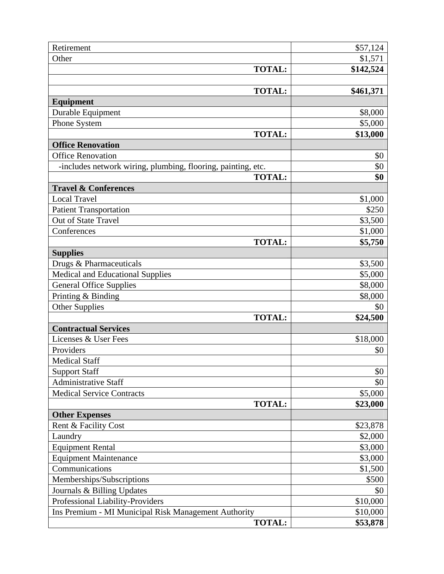| Retirement                                                   | \$57,124  |
|--------------------------------------------------------------|-----------|
| Other                                                        | \$1,571   |
| <b>TOTAL:</b>                                                | \$142,524 |
|                                                              |           |
| <b>TOTAL:</b>                                                | \$461,371 |
| <b>Equipment</b>                                             |           |
| Durable Equipment                                            | \$8,000   |
| Phone System                                                 | \$5,000   |
| <b>TOTAL:</b>                                                | \$13,000  |
| <b>Office Renovation</b>                                     |           |
| <b>Office Renovation</b>                                     | \$0       |
| -includes network wiring, plumbing, flooring, painting, etc. | \$0       |
| <b>TOTAL:</b>                                                | \$0       |
| <b>Travel &amp; Conferences</b>                              |           |
| <b>Local Travel</b>                                          | \$1,000   |
| <b>Patient Transportation</b>                                | \$250     |
| Out of State Travel                                          | \$3,500   |
| Conferences                                                  | \$1,000   |
| <b>TOTAL:</b>                                                | \$5,750   |
| <b>Supplies</b>                                              |           |
| Drugs & Pharmaceuticals                                      | \$3,500   |
| <b>Medical and Educational Supplies</b>                      | \$5,000   |
| <b>General Office Supplies</b>                               | \$8,000   |
| Printing & Binding                                           | \$8,000   |
| Other Supplies                                               | \$0       |
| <b>TOTAL:</b>                                                | \$24,500  |
| <b>Contractual Services</b>                                  |           |
| Licenses & User Fees                                         | \$18,000  |
| Providers                                                    | \$0       |
| <b>Medical Staff</b>                                         |           |
| <b>Support Staff</b>                                         | \$0       |
| <b>Administrative Staff</b>                                  | \$0       |
| <b>Medical Service Contracts</b>                             | \$5,000   |
| <b>TOTAL:</b>                                                | \$23,000  |
| <b>Other Expenses</b><br>Rent & Facility Cost                | \$23,878  |
| Laundry                                                      | \$2,000   |
| <b>Equipment Rental</b>                                      | \$3,000   |
| <b>Equipment Maintenance</b>                                 | \$3,000   |
| Communications                                               | \$1,500   |
| Memberships/Subscriptions                                    | \$500     |
| Journals & Billing Updates                                   | \$0       |
| Professional Liability-Providers                             | \$10,000  |
| Ins Premium - MI Municipal Risk Management Authority         | \$10,000  |
| <b>TOTAL:</b>                                                | \$53,878  |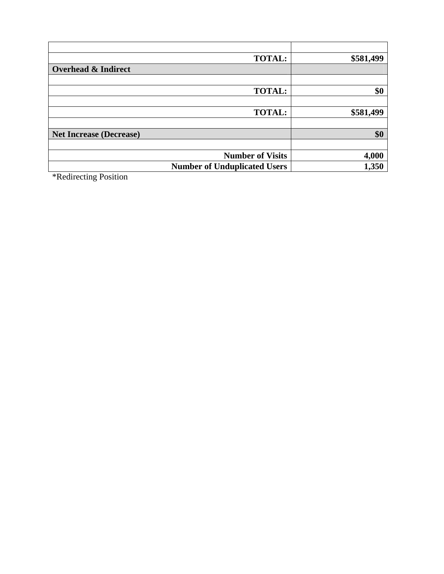| <b>TOTAL:</b>                       | \$581,499 |
|-------------------------------------|-----------|
| <b>Overhead &amp; Indirect</b>      |           |
|                                     |           |
| <b>TOTAL:</b>                       | \$0       |
|                                     |           |
| <b>TOTAL:</b>                       | \$581,499 |
|                                     |           |
| <b>Net Increase (Decrease)</b>      | \$0       |
|                                     |           |
| <b>Number of Visits</b>             | 4,000     |
| <b>Number of Unduplicated Users</b> | 1,350     |

\*Redirecting Position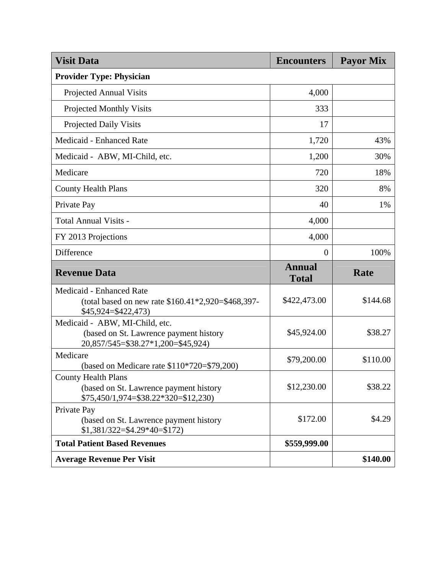| <b>Visit Data</b>                                                                                              | <b>Encounters</b>             | <b>Payor Mix</b> |
|----------------------------------------------------------------------------------------------------------------|-------------------------------|------------------|
| <b>Provider Type: Physician</b>                                                                                |                               |                  |
| <b>Projected Annual Visits</b>                                                                                 | 4,000                         |                  |
| <b>Projected Monthly Visits</b>                                                                                | 333                           |                  |
| <b>Projected Daily Visits</b>                                                                                  | 17                            |                  |
| Medicaid - Enhanced Rate                                                                                       | 1,720                         | 43%              |
| Medicaid - ABW, MI-Child, etc.                                                                                 | 1,200                         | 30%              |
| Medicare                                                                                                       | 720                           | 18%              |
| <b>County Health Plans</b>                                                                                     | 320                           | 8%               |
| Private Pay                                                                                                    | 40                            | 1%               |
| <b>Total Annual Visits -</b>                                                                                   | 4,000                         |                  |
| FY 2013 Projections                                                                                            | 4,000                         |                  |
| Difference                                                                                                     | $\theta$                      | 100%             |
| <b>Revenue Data</b>                                                                                            | <b>Annual</b><br><b>Total</b> | Rate             |
| Medicaid - Enhanced Rate<br>(total based on new rate $$160.41*2,920= $468,397$ -<br>\$45,924=\$422,473)        | \$422,473.00                  | \$144.68         |
| Medicaid - ABW, MI-Child, etc.<br>(based on St. Lawrence payment history                                       | \$45,924.00                   | \$38.27          |
| 20,857/545=\$38.27*1,200=\$45,924)                                                                             |                               |                  |
| Medicare<br>(based on Medicare rate $$110*720 = $79,200$ )                                                     | \$79,200.00                   | \$110.00         |
| <b>County Health Plans</b><br>(based on St. Lawrence payment history<br>$$75,450/1,974 = $38.22*320 = $12,230$ | \$12,230.00                   | \$38.22          |
| Private Pay<br>(based on St. Lawrence payment history<br>$$1,381/322 = $4.29*40 = $172$                        | \$172.00                      | \$4.29           |
| <b>Total Patient Based Revenues</b>                                                                            | \$559,999.00                  |                  |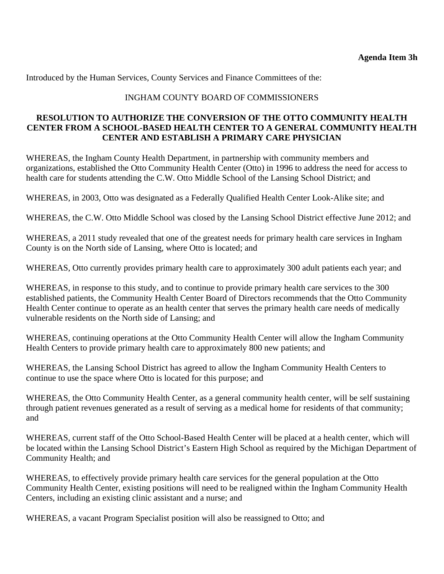Introduced by the Human Services, County Services and Finance Committees of the:

## INGHAM COUNTY BOARD OF COMMISSIONERS

## **RESOLUTION TO AUTHORIZE THE CONVERSION OF THE OTTO COMMUNITY HEALTH CENTER FROM A SCHOOL-BASED HEALTH CENTER TO A GENERAL COMMUNITY HEALTH CENTER AND ESTABLISH A PRIMARY CARE PHYSICIAN**

WHEREAS, the Ingham County Health Department, in partnership with community members and organizations, established the Otto Community Health Center (Otto) in 1996 to address the need for access to health care for students attending the C.W. Otto Middle School of the Lansing School District; and

WHEREAS, in 2003, Otto was designated as a Federally Qualified Health Center Look-Alike site; and

WHEREAS, the C.W. Otto Middle School was closed by the Lansing School District effective June 2012; and

WHEREAS, a 2011 study revealed that one of the greatest needs for primary health care services in Ingham County is on the North side of Lansing, where Otto is located; and

WHEREAS, Otto currently provides primary health care to approximately 300 adult patients each year; and

WHEREAS, in response to this study, and to continue to provide primary health care services to the 300 established patients, the Community Health Center Board of Directors recommends that the Otto Community Health Center continue to operate as an health center that serves the primary health care needs of medically vulnerable residents on the North side of Lansing; and

WHEREAS, continuing operations at the Otto Community Health Center will allow the Ingham Community Health Centers to provide primary health care to approximately 800 new patients; and

WHEREAS, the Lansing School District has agreed to allow the Ingham Community Health Centers to continue to use the space where Otto is located for this purpose; and

WHEREAS, the Otto Community Health Center, as a general community health center, will be self sustaining through patient revenues generated as a result of serving as a medical home for residents of that community; and

WHEREAS, current staff of the Otto School-Based Health Center will be placed at a health center, which will be located within the Lansing School District's Eastern High School as required by the Michigan Department of Community Health; and

WHEREAS, to effectively provide primary health care services for the general population at the Otto Community Health Center, existing positions will need to be realigned within the Ingham Community Health Centers, including an existing clinic assistant and a nurse; and

WHEREAS, a vacant Program Specialist position will also be reassigned to Otto; and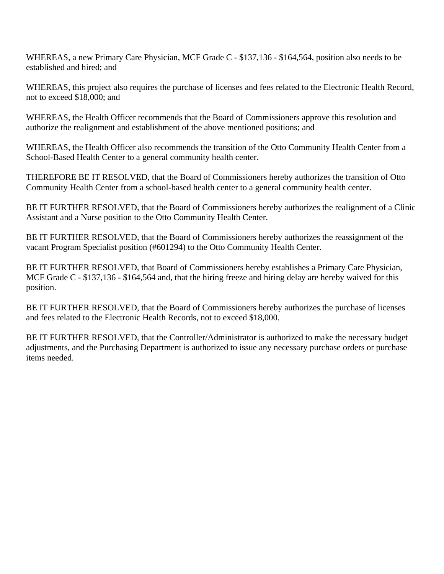WHEREAS, a new Primary Care Physician, MCF Grade C - \$137,136 - \$164,564, position also needs to be established and hired; and

WHEREAS, this project also requires the purchase of licenses and fees related to the Electronic Health Record, not to exceed \$18,000; and

WHEREAS, the Health Officer recommends that the Board of Commissioners approve this resolution and authorize the realignment and establishment of the above mentioned positions; and

WHEREAS, the Health Officer also recommends the transition of the Otto Community Health Center from a School-Based Health Center to a general community health center.

THEREFORE BE IT RESOLVED, that the Board of Commissioners hereby authorizes the transition of Otto Community Health Center from a school-based health center to a general community health center.

BE IT FURTHER RESOLVED, that the Board of Commissioners hereby authorizes the realignment of a Clinic Assistant and a Nurse position to the Otto Community Health Center.

BE IT FURTHER RESOLVED, that the Board of Commissioners hereby authorizes the reassignment of the vacant Program Specialist position (#601294) to the Otto Community Health Center.

BE IT FURTHER RESOLVED, that Board of Commissioners hereby establishes a Primary Care Physician, MCF Grade C - \$137,136 - \$164,564 and, that the hiring freeze and hiring delay are hereby waived for this position.

BE IT FURTHER RESOLVED, that the Board of Commissioners hereby authorizes the purchase of licenses and fees related to the Electronic Health Records, not to exceed \$18,000.

BE IT FURTHER RESOLVED, that the Controller/Administrator is authorized to make the necessary budget adjustments, and the Purchasing Department is authorized to issue any necessary purchase orders or purchase items needed.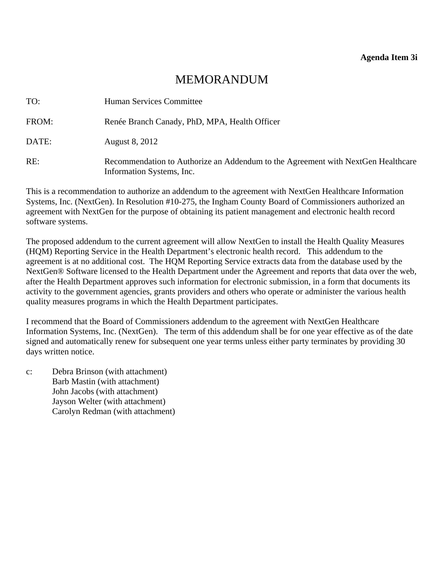<span id="page-38-0"></span>

| TO:   | Human Services Committee                                                                                      |
|-------|---------------------------------------------------------------------------------------------------------------|
| FROM: | Renée Branch Canady, PhD, MPA, Health Officer                                                                 |
| DATE: | August 8, 2012                                                                                                |
| RE:   | Recommendation to Authorize an Addendum to the Agreement with NextGen Healthcare<br>Information Systems, Inc. |

This is a recommendation to authorize an addendum to the agreement with NextGen Healthcare Information Systems, Inc. (NextGen). In Resolution #10-275, the Ingham County Board of Commissioners authorized an agreement with NextGen for the purpose of obtaining its patient management and electronic health record software systems.

The proposed addendum to the current agreement will allow NextGen to install the Health Quality Measures (HQM) Reporting Service in the Health Department's electronic health record. This addendum to the agreement is at no additional cost. The HQM Reporting Service extracts data from the database used by the NextGen® Software licensed to the Health Department under the Agreement and reports that data over the web, after the Health Department approves such information for electronic submission, in a form that documents its activity to the government agencies, grants providers and others who operate or administer the various health quality measures programs in which the Health Department participates.

I recommend that the Board of Commissioners addendum to the agreement with NextGen Healthcare Information Systems, Inc. (NextGen). The term of this addendum shall be for one year effective as of the date signed and automatically renew for subsequent one year terms unless either party terminates by providing 30 days written notice.

c: Debra Brinson (with attachment) Barb Mastin (with attachment) John Jacobs (with attachment) Jayson Welter (with attachment) Carolyn Redman (with attachment)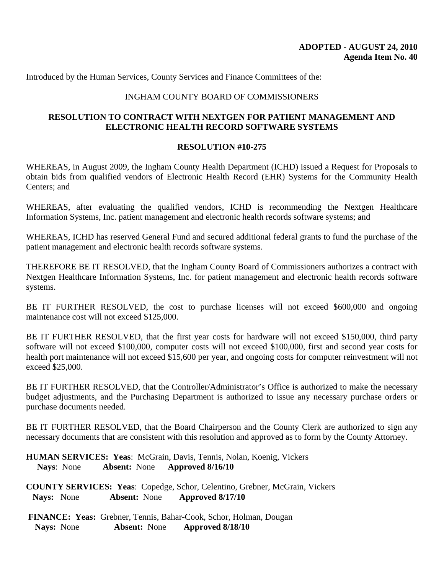Introduced by the Human Services, County Services and Finance Committees of the:

#### INGHAM COUNTY BOARD OF COMMISSIONERS

#### **RESOLUTION TO CONTRACT WITH NEXTGEN FOR PATIENT MANAGEMENT AND ELECTRONIC HEALTH RECORD SOFTWARE SYSTEMS**

#### **RESOLUTION #10-275**

WHEREAS, in August 2009, the Ingham County Health Department (ICHD) issued a Request for Proposals to obtain bids from qualified vendors of Electronic Health Record (EHR) Systems for the Community Health Centers; and

WHEREAS, after evaluating the qualified vendors, ICHD is recommending the Nextgen Healthcare Information Systems, Inc. patient management and electronic health records software systems; and

WHEREAS, ICHD has reserved General Fund and secured additional federal grants to fund the purchase of the patient management and electronic health records software systems.

THEREFORE BE IT RESOLVED, that the Ingham County Board of Commissioners authorizes a contract with Nextgen Healthcare Information Systems, Inc. for patient management and electronic health records software systems.

BE IT FURTHER RESOLVED, the cost to purchase licenses will not exceed \$600,000 and ongoing maintenance cost will not exceed \$125,000.

BE IT FURTHER RESOLVED, that the first year costs for hardware will not exceed \$150,000, third party software will not exceed \$100,000, computer costs will not exceed \$100,000, first and second year costs for health port maintenance will not exceed \$15,600 per year, and ongoing costs for computer reinvestment will not exceed \$25,000.

BE IT FURTHER RESOLVED, that the Controller/Administrator's Office is authorized to make the necessary budget adjustments, and the Purchasing Department is authorized to issue any necessary purchase orders or purchase documents needed.

BE IT FURTHER RESOLVED, that the Board Chairperson and the County Clerk are authorized to sign any necessary documents that are consistent with this resolution and approved as to form by the County Attorney.

**HUMAN SERVICES: Yeas**: McGrain, Davis, Tennis, Nolan, Koenig, Vickers **Nays**: None **Absent:** None **Approved 8/16/10**

**COUNTY SERVICES: Yeas**: Copedge, Schor, Celentino, Grebner, McGrain, Vickers **Nays:** None **Absent:** None **Approved 8/17/10** 

 **FINANCE: Yeas:** Grebner, Tennis, Bahar-Cook, Schor, Holman, Dougan **Nays:** None **Absent:** None **Approved 8/18/10**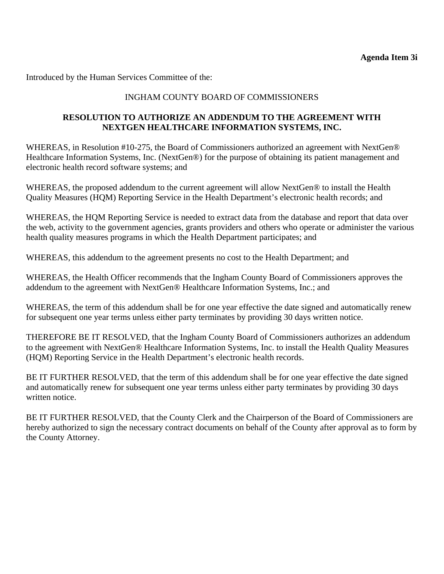**Agenda Item 3i** 

Introduced by the Human Services Committee of the:

# INGHAM COUNTY BOARD OF COMMISSIONERS

## **RESOLUTION TO AUTHORIZE AN ADDENDUM TO THE AGREEMENT WITH NEXTGEN HEALTHCARE INFORMATION SYSTEMS, INC.**

WHEREAS, in Resolution #10-275, the Board of Commissioners authorized an agreement with NextGen® Healthcare Information Systems, Inc. (NextGen®) for the purpose of obtaining its patient management and electronic health record software systems; and

WHEREAS, the proposed addendum to the current agreement will allow NextGen® to install the Health Quality Measures (HQM) Reporting Service in the Health Department's electronic health records; and

WHEREAS, the HQM Reporting Service is needed to extract data from the database and report that data over the web, activity to the government agencies, grants providers and others who operate or administer the various health quality measures programs in which the Health Department participates; and

WHEREAS, this addendum to the agreement presents no cost to the Health Department; and

WHEREAS, the Health Officer recommends that the Ingham County Board of Commissioners approves the addendum to the agreement with NextGen® Healthcare Information Systems, Inc.; and

WHEREAS, the term of this addendum shall be for one year effective the date signed and automatically renew for subsequent one year terms unless either party terminates by providing 30 days written notice.

THEREFORE BE IT RESOLVED, that the Ingham County Board of Commissioners authorizes an addendum to the agreement with NextGen® Healthcare Information Systems, Inc. to install the Health Quality Measures (HQM) Reporting Service in the Health Department's electronic health records.

BE IT FURTHER RESOLVED, that the term of this addendum shall be for one year effective the date signed and automatically renew for subsequent one year terms unless either party terminates by providing 30 days written notice.

BE IT FURTHER RESOLVED, that the County Clerk and the Chairperson of the Board of Commissioners are hereby authorized to sign the necessary contract documents on behalf of the County after approval as to form by the County Attorney.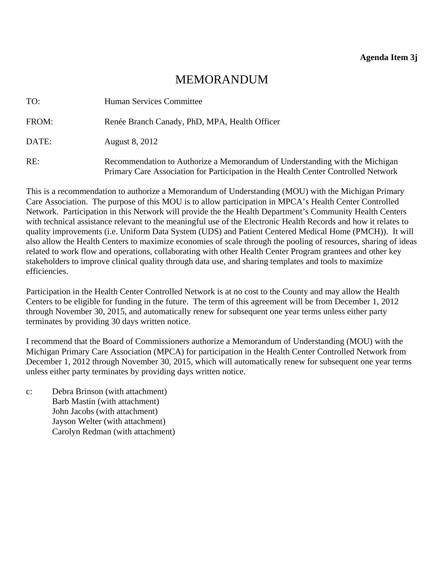<span id="page-41-0"></span>

| TO:   | Human Services Committee                                                                                                                                          |
|-------|-------------------------------------------------------------------------------------------------------------------------------------------------------------------|
| FROM: | Renée Branch Canady, PhD, MPA, Health Officer                                                                                                                     |
| DATE: | August 8, 2012                                                                                                                                                    |
| RE:   | Recommendation to Authorize a Memorandum of Understanding with the Michigan<br>Primary Care Association for Participation in the Health Center Controlled Network |

This is a recommendation to authorize a Memorandum of Understanding (MOU) with the Michigan Primary Care Association. The purpose of this MOU is to allow participation in MPCA's Health Center Controlled Network. Participation in this Network will provide the the Health Department's Community Health Centers with technical assistance relevant to the meaningful use of the Electronic Health Records and how it relates to quality improvements (i.e. Uniform Data System (UDS) and Patient Centered Medical Home (PMCH)). It will also allow the Health Centers to maximize economies of scale through the pooling of resources, sharing of ideas related to work flow and operations, collaborating with other Health Center Program grantees and other key stakeholders to improve clinical quality through data use, and sharing templates and tools to maximize efficiencies.

Participation in the Health Center Controlled Network is at no cost to the County and may allow the Health Centers to be eligible for funding in the future. The term of this agreement will be from December 1, 2012 through November 30, 2015, and automatically renew for subsequent one year terms unless either party terminates by providing 30 days written notice.

I recommend that the Board of Commissioners authorize a Memorandum of Understanding (MOU) with the Michigan Primary Care Association (MPCA) for participation in the Health Center Controlled Network from December 1, 2012 through November 30, 2015, which will automatically renew for subsequent one year terms unless either party terminates by providing days written notice.

c: Debra Brinson (with attachment) Barb Mastin (with attachment) John Jacobs (with attachment) Jayson Welter (with attachment) Carolyn Redman (with attachment)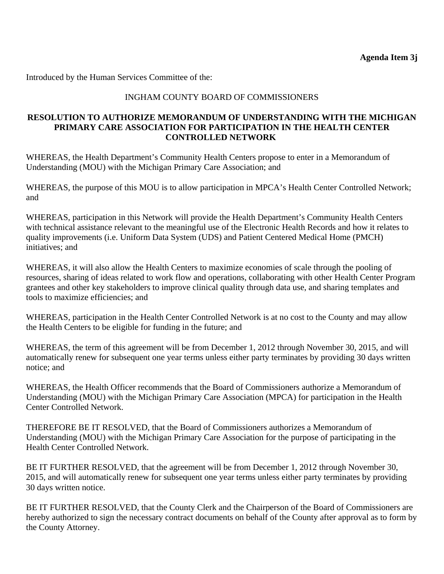Introduced by the Human Services Committee of the:

# INGHAM COUNTY BOARD OF COMMISSIONERS

### **RESOLUTION TO AUTHORIZE MEMORANDUM OF UNDERSTANDING WITH THE MICHIGAN PRIMARY CARE ASSOCIATION FOR PARTICIPATION IN THE HEALTH CENTER CONTROLLED NETWORK**

WHEREAS, the Health Department's Community Health Centers propose to enter in a Memorandum of Understanding (MOU) with the Michigan Primary Care Association; and

WHEREAS, the purpose of this MOU is to allow participation in MPCA's Health Center Controlled Network; and

WHEREAS, participation in this Network will provide the Health Department's Community Health Centers with technical assistance relevant to the meaningful use of the Electronic Health Records and how it relates to quality improvements (i.e. Uniform Data System (UDS) and Patient Centered Medical Home (PMCH) initiatives; and

WHEREAS, it will also allow the Health Centers to maximize economies of scale through the pooling of resources, sharing of ideas related to work flow and operations, collaborating with other Health Center Program grantees and other key stakeholders to improve clinical quality through data use, and sharing templates and tools to maximize efficiencies; and

WHEREAS, participation in the Health Center Controlled Network is at no cost to the County and may allow the Health Centers to be eligible for funding in the future; and

WHEREAS, the term of this agreement will be from December 1, 2012 through November 30, 2015, and will automatically renew for subsequent one year terms unless either party terminates by providing 30 days written notice; and

WHEREAS, the Health Officer recommends that the Board of Commissioners authorize a Memorandum of Understanding (MOU) with the Michigan Primary Care Association (MPCA) for participation in the Health Center Controlled Network.

THEREFORE BE IT RESOLVED, that the Board of Commissioners authorizes a Memorandum of Understanding (MOU) with the Michigan Primary Care Association for the purpose of participating in the Health Center Controlled Network.

BE IT FURTHER RESOLVED, that the agreement will be from December 1, 2012 through November 30, 2015, and will automatically renew for subsequent one year terms unless either party terminates by providing 30 days written notice.

BE IT FURTHER RESOLVED, that the County Clerk and the Chairperson of the Board of Commissioners are hereby authorized to sign the necessary contract documents on behalf of the County after approval as to form by the County Attorney.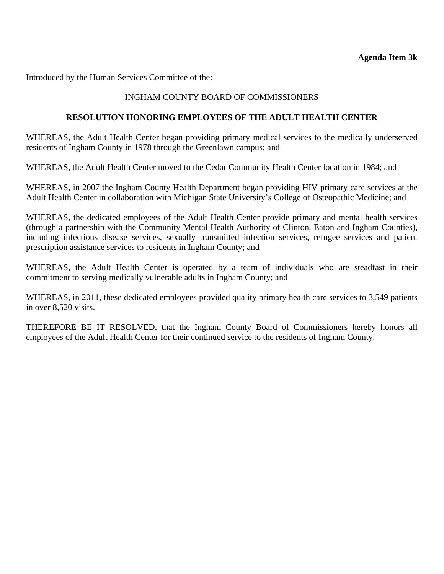<span id="page-43-0"></span>Introduced by the Human Services Committee of the:

### INGHAM COUNTY BOARD OF COMMISSIONERS

#### **RESOLUTION HONORING EMPLOYEES OF THE ADULT HEALTH CENTER**

WHEREAS, the Adult Health Center began providing primary medical services to the medically underserved residents of Ingham County in 1978 through the Greenlawn campus; and

WHEREAS, the Adult Health Center moved to the Cedar Community Health Center location in 1984; and

WHEREAS, in 2007 the Ingham County Health Department began providing HIV primary care services at the Adult Health Center in collaboration with Michigan State University's College of Osteopathic Medicine; and

WHEREAS, the dedicated employees of the Adult Health Center provide primary and mental health services (through a partnership with the Community Mental Health Authority of Clinton, Eaton and Ingham Counties), including infectious disease services, sexually transmitted infection services, refugee services and patient prescription assistance services to residents in Ingham County; and

WHEREAS, the Adult Health Center is operated by a team of individuals who are steadfast in their commitment to serving medically vulnerable adults in Ingham County; and

WHEREAS, in 2011, these dedicated employees provided quality primary health care services to 3,549 patients in over 8,520 visits.

THEREFORE BE IT RESOLVED, that the Ingham County Board of Commissioners hereby honors all employees of the Adult Health Center for their continued service to the residents of Ingham County.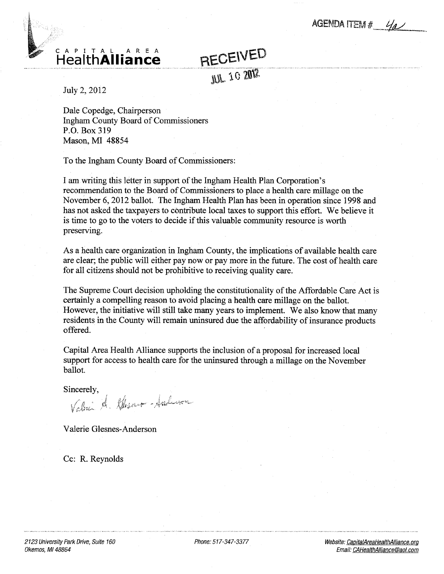AGENDA ITEM #  $4\mu$ 

<span id="page-44-0"></span>

RECEIVED

JUL 10 2012

July 2, 2012

Dale Copedge, Chairperson Ingham County Board of Commissioners P.O. Box 319 Mason, MI 48854

To the Ingham County Board of Commissioners:

am writing this letter in support of the Ingham Health Plan Corporation's recommendation to the Board of Commissioners to place a health care millage on the November 6, 2012 ballot. The Ingham Health Plan has been in operation since 1998 and has not asked the taxpayers to contribute local taxes to support this effort. We believe it is time to go to the voters to decide if this valuable community resource is worth preserving.

As a health care organization in Ingham County, the implications of available health care are clear; the public will either pay now or pay more in the future. The cost of health care for all citizens should not be prohibitive to receiving quality care.

The Supreme Court decision upholding the constitutionality of the Affordable Care Act is certainly a compelling reason to avoid placing a health care millage on the ballot. However, the initiative will still take many years to implement. We also know that many residents in the County will remain uninsured due the affordability of insurance products offered.

Capital Area Health Alliance supports the inclusion of proposal for increased local support for access to health care for the uninsured through a millage on the November ballot.

Sincerely,<br>Value de Glesner-Anderson

Valerie Glesnes-Anderson

Cc: R. Reynolds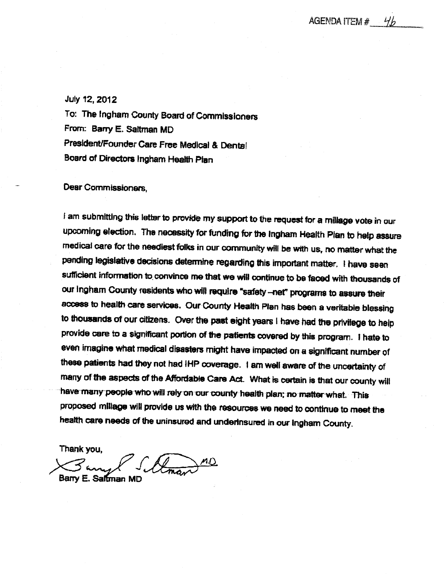#### <span id="page-45-0"></span>July 12,2012

To: The Ingham County Board of Commissioners From: Barry E. Sattrnan MD President/Founder Care Free Medical & Dental Board of Directors Ingham Health Plan

#### Dear Commissioners,

I am submitting this letter to provide my support to the request for a millage vote in our upcoming election. The necessity for funding for the Ingham Health Plan to help assure medical care for the neediest folks in our community will be with us, no matter what the pending legislative decisions determine regarding this important matter, I have seen sufficient information to convince me that we will continue to be faced with thousands of our ingham County residents who will require "safety -net" programs to assure their access to health care services. Our County Health Plan has been a veritable blessing to thousands of our citizens. Over the past eight years I have had the privilege to help provide care to a significant portion of the patients covered by this program. I hate to even imagine what medical disasters might have impacted on significant number of these patients had they not had IHP coverage. I am well aware of the uncertainty of many of the aspects of the Affordable Cans Act What is certain is that our county will have many people who will rely on our county health plan; no matter what. This proposed mlllage will provide us with the resources we need to continue to meet the health care needs of the uninsured and undertnsured in our Ingham County.

Thank you,

Bany Sillman MD Barry E. Saltman MD